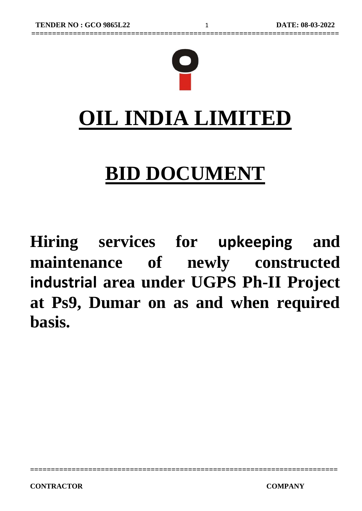

**==========================================================================**

# **OIL INDIA LIMITED**

# **BID DOCUMENT**

**Hiring services for upkeeping and maintenance of newly constructed industrial area under UGPS Ph-II Project at Ps9, Dumar on as and when required basis.**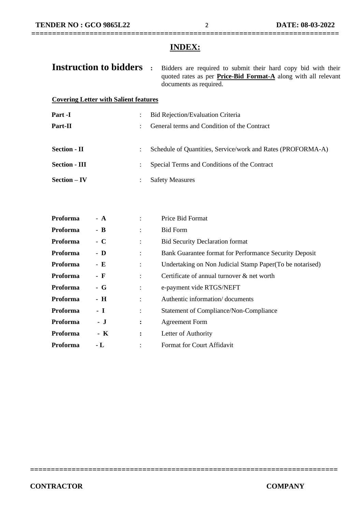### **INDEX:**

| <b>Instruction to bidders</b> |  |  |
|-------------------------------|--|--|
|                               |  |  |

**Instruction to bidders :** Bidders are required to submit their hard copy bid with their quoted rates as per **Price-Bid Format-A** along with all relevant documents as required.

### **Covering Letter with Salient features**

| Part -I              |                      | <b>Bid Rejection/Evaluation Criteria</b>                    |
|----------------------|----------------------|-------------------------------------------------------------|
| Part-II              |                      | General terms and Condition of the Contract                 |
|                      |                      |                                                             |
| <b>Section - II</b>  | $\ddot{\phantom{0}}$ | Schedule of Quantities, Service/work and Rates (PROFORMA-A) |
| <b>Section - III</b> |                      | Special Terms and Conditions of the Contract                |
| Section - IV         |                      | <b>Safety Measures</b>                                      |

| Proforma        | $- A$          |                      | Price Bid Format                                         |
|-----------------|----------------|----------------------|----------------------------------------------------------|
| <b>Proforma</b> | $-$ B          |                      | <b>Bid Form</b>                                          |
| <b>Proforma</b> | $-C$           |                      | <b>Bid Security Declaration format</b>                   |
| Proforma        | $-$ D          |                      | Bank Guarantee format for Performance Security Deposit   |
| Proforma        | - E            |                      | Undertaking on Non Judicial Stamp Paper(To be notarised) |
| <b>Proforma</b> | - F            |                      | Certificate of annual turnover $\&$ net worth            |
| Proforma        | $-G$           |                      | e-payment vide RTGS/NEFT                                 |
| Proforma        | - H            | $\ddot{\phantom{a}}$ | Authentic information/documents                          |
| Proforma        | $\blacksquare$ |                      | <b>Statement of Compliance/Non-Compliance</b>            |
| <b>Proforma</b> | - J            | $\ddot{\cdot}$       | <b>Agreement Form</b>                                    |
| Proforma        | - K            | $\ddot{\cdot}$       | Letter of Authority                                      |
| <b>Proforma</b> | $-L$           |                      | Format for Court Affidavit                               |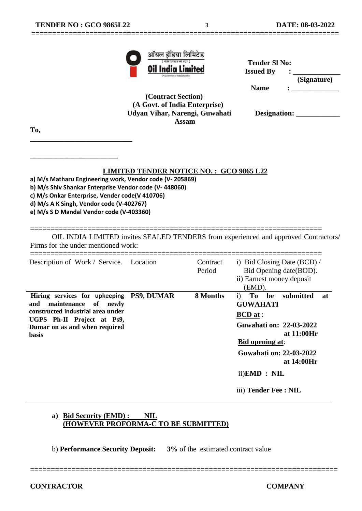

| भारत सरकार का उद्यम )              | <b>Tender SI No:</b> |             |
|------------------------------------|----------------------|-------------|
| <b>Oil India Limited</b>           | <b>Issued By</b>     |             |
| (A Government of India Enterprise) |                      | (Signature) |
|                                    | <b>Name</b>          |             |

 **(Contract Section) (A Govt. of India Enterprise)**  Udyan Vihar, Narengi, Guwahati Designation:  **Assam**

**==========================================================================**

**To,**

### **LIMITED TENDER NOTICE NO. : GCO 9865 L22**

- **a) M/s Matharu Engineering work, Vendor code (V- 205869)**
- **b) M/s Shiv Shankar Enterprise Vendor code (V- 448060)**
- **c) M/s Onkar Enterprise, Vender code(V 410706)**
- **d) M/s A K Singh, Vendor code (V-402767) e) M/s S D Mandal Vendor code (V-403360)**

**\_\_\_\_\_\_\_\_\_\_\_\_\_\_\_\_\_\_\_\_\_\_\_\_\_\_\_\_**

**\_\_\_\_\_\_\_\_\_\_\_\_\_\_\_\_\_\_\_\_\_\_\_\_**

======================================================================= OIL INDIA LIMITED invites SEALED TENDERS from experienced and approved Contractors/

|  |  |  | Firms for the under mentioned work: |  |
|--|--|--|-------------------------------------|--|
|--|--|--|-------------------------------------|--|

| Description of Work / Service. Location                                                                                                                                                     | Contract<br>Period | i) Bid Closing Date $(BCD)$ /<br>Bid Opening date (BOD).<br>ii) Earnest money deposit<br>(EMD).                                                                                                                                          |
|---------------------------------------------------------------------------------------------------------------------------------------------------------------------------------------------|--------------------|------------------------------------------------------------------------------------------------------------------------------------------------------------------------------------------------------------------------------------------|
| Hiring services for upkeeping PS9, DUMAR<br>maintenance of newly<br>and<br>constructed industrial area under<br>UGPS Ph-II Project at Ps9,<br>Dumar on as and when required<br><b>basis</b> | 8 Months           | To<br>be<br>submitted<br>$\mathbf{i}$<br>at<br><b>GUWAHATI</b><br><b>BCD</b> at :<br>Guwahati on: 22-03-2022<br>at 11:00Hr<br>Bid opening at:<br>Guwahati on: 22-03-2022<br>at 14:00Hr<br>$ii)$ <b>EMD</b> : NIL<br>iii) Tender Fee: NIL |

### **a) Bid Security (EMD) : NIL (HOWEVER PROFORMA-C TO BE SUBMITTED)**

b) **Performance Security Deposit: 3%** of the estimated contract value

**==========================================================================**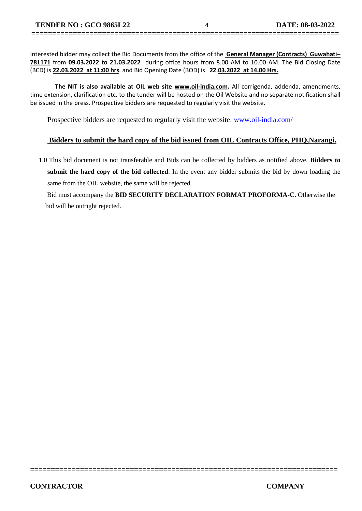Interested bidder may collect the Bid Documents from the office of the **General Manager (Contracts) Guwahati– 781171** from **09.03.2022 to 21.03.2022** during office hours from 8.00 AM to 10.00 AM. The Bid Closing Date (BCD) is **22.03.2022 at 11:00 hrs**. and Bid Opening Date (BOD) is **22**.**03.2022 at 14.00 Hrs.**

**==========================================================================**

**The NIT is also available at OIL web site [www.oil-india.com.](http://www.oil-india.com/)** All corrigenda, addenda, amendments, time extension, clarification etc. to the tender will be hosted on the Oil Website and no separate notification shall be issued in the press. Prospective bidders are requested to regularly visit the website.

Prospective bidders are requested to regularly visit the website: [www.oil-india.com/](http://www.oil-india.com/)

### **Bidders to submit the hard copy of the bid issued from OIL Contracts Office, PHQ,Narangi.**

1.0 This bid document is not transferable and Bids can be collected by bidders as notified above. **Bidders to submit the hard copy of the bid collected**. In the event any bidder submits the bid by down loading the same from the OIL website, the same will be rejected.

 Bid must accompany the **BID SECURITY DECLARATION FORMAT PROFORMA-C.** Otherwise the bid will be outright rejected.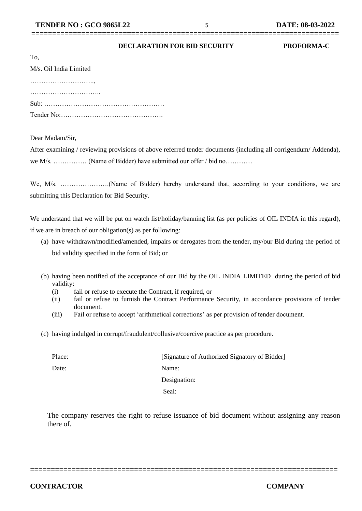### **DECLARATION FOR BID SECURITY PROFORMA-C**

| M/s. Oil India Limited |
|------------------------|
|                        |
|                        |
|                        |
|                        |

Dear Madam/Sir,

To,

After examining / reviewing provisions of above referred tender documents (including all corrigendum/ Addenda), we M/s. …………… (Name of Bidder) have submitted our offer / bid no…………

We, M/s. ………………….(Name of Bidder) hereby understand that, according to your conditions, we are submitting this Declaration for Bid Security.

We understand that we will be put on watch list/holiday/banning list (as per policies of OIL INDIA in this regard), if we are in breach of our obligation(s) as per following:

- (a) have withdrawn/modified/amended, impairs or derogates from the tender, my/our Bid during the period of bid validity specified in the form of Bid; or
- (b) having been notified of the acceptance of our Bid by the OIL INDIA LIMITED during the period of bid validity:
	- (i) fail or refuse to execute the Contract, if required, or
	- (ii) fail or refuse to furnish the Contract Performance Security, in accordance provisions of tender document.
	- (iii) Fail or refuse to accept 'arithmetical corrections' as per provision of tender document.
- (c) having indulged in corrupt/fraudulent/collusive/coercive practice as per procedure.

| Place: | [Signature of Authorized Signatory of Bidder] |
|--------|-----------------------------------------------|
| Date:  | Name:                                         |
|        | Designation:                                  |
|        | Seal:                                         |

The company reserves the right to refuse issuance of bid document without assigning any reason there of.

**==========================================================================**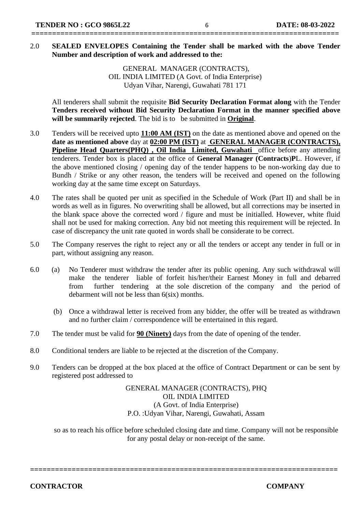### 2.0 **SEALED ENVELOPES Containing the Tender shall be marked with the above Tender Number and description of work and addressed to the:**

GENERAL MANAGER (CONTRACTS), OIL INDIA LIMITED (A Govt. of India Enterprise) Udyan Vihar, Narengi, Guwahati 781 171

All tenderers shall submit the requisite **Bid Security Declaration Format along** with the Tender **Tenders received without Bid Security Declaration Format in the manner specified above will be summarily rejected**. The bid is to be submitted in **Original**.

- 3.0 Tenders will be received upto **11:00 AM (IST)** on the date as mentioned above and opened on the **date as mentioned above** day at **02:00 PM (IST)** at **GENERAL MANAGER (CONTRACTS), Pipeline Head Quarters(PHQ), Oil India Limited, Guwahati** office before any attending tenderers. Tender box is placed at the office of **General Manager (Contracts**)**P**L. However, if the above mentioned closing / opening day of the tender happens to be non-working day due to Bundh / Strike or any other reason, the tenders will be received and opened on the following working day at the same time except on Saturdays.
- 4.0 The rates shall be quoted per unit as specified in the Schedule of Work (Part II) and shall be in words as well as in figures. No overwriting shall be allowed, but all corrections may be inserted in the blank space above the corrected word / figure and must be initialled. However, white fluid shall not be used for making correction. Any bid not meeting this requirement will be rejected. In case of discrepancy the unit rate quoted in words shall be considerate to be correct.
- 5.0 The Company reserves the right to reject any or all the tenders or accept any tender in full or in part, without assigning any reason.
- 6.0 (a) No Tenderer must withdraw the tender after its public opening. Any such withdrawal will make the tenderer liable of forfeit his/her/their Earnest Money in full and debarred from further tendering at the sole discretion of the company and the period of debarment will not be less than 6(six) months.
	- (b) Once a withdrawal letter is received from any bidder, the offer will be treated as withdrawn and no further claim / correspondence will be entertained in this regard.
- 7.0 The tender must be valid for **90 (Ninety)** days from the date of opening of the tender.
- 8.0 Conditional tenders are liable to be rejected at the discretion of the Company.
- 9.0 Tenders can be dropped at the box placed at the office of Contract Department or can be sent by registered post addressed to

GENERAL MANAGER (CONTRACTS), PHQ OIL INDIA LIMITED (A Govt. of India Enterprise) P.O. :Udyan Vihar, Narengi, Guwahati, Assam

so as to reach his office before scheduled closing date and time. Company will not be responsible for any postal delay or non-receipt of the same.

**==========================================================================**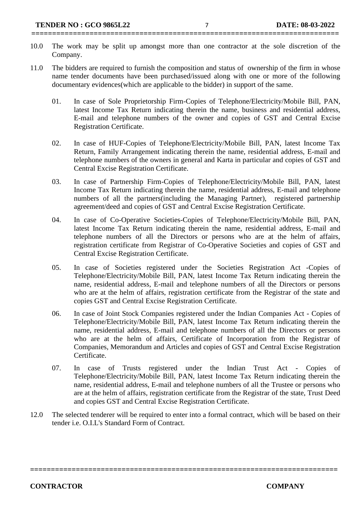10.0 The work may be split up amongst more than one contractor at the sole discretion of the Company.

**==========================================================================**

- 11.0 The bidders are required to furnish the composition and status of ownership of the firm in whose name tender documents have been purchased/issued along with one or more of the following documentary evidences(which are applicable to the bidder) in support of the same.
	- 01. In case of Sole Proprietorship Firm-Copies of Telephone/Electricity/Mobile Bill, PAN, latest Income Tax Return indicating therein the name, business and residential address, E-mail and telephone numbers of the owner and copies of GST and Central Excise Registration Certificate.
	- 02. In case of HUF-Copies of Telephone/Electricity/Mobile Bill, PAN, latest Income Tax Return, Family Arrangement indicating therein the name, residential address, E-mail and telephone numbers of the owners in general and Karta in particular and copies of GST and Central Excise Registration Certificate.
	- 03. In case of Partnership Firm-Copies of Telephone/Electricity/Mobile Bill, PAN, latest Income Tax Return indicating therein the name, residential address, E-mail and telephone numbers of all the partners(including the Managing Partner), registered partnership agreement/deed and copies of GST and Central Excise Registration Certificate.
	- 04. In case of Co-Operative Societies-Copies of Telephone/Electricity/Mobile Bill, PAN, latest Income Tax Return indicating therein the name, residential address, E-mail and telephone numbers of all the Directors or persons who are at the helm of affairs, registration certificate from Registrar of Co-Operative Societies and copies of GST and Central Excise Registration Certificate.
	- 05. In case of Societies registered under the Societies Registration Act -Copies of Telephone/Electricity/Mobile Bill, PAN, latest Income Tax Return indicating therein the name, residential address, E-mail and telephone numbers of all the Directors or persons who are at the helm of affairs, registration certificate from the Registrar of the state and copies GST and Central Excise Registration Certificate.
	- 06. In case of Joint Stock Companies registered under the Indian Companies Act Copies of Telephone/Electricity/Mobile Bill, PAN, latest Income Tax Return indicating therein the name, residential address, E-mail and telephone numbers of all the Directors or persons who are at the helm of affairs, Certificate of Incorporation from the Registrar of Companies, Memorandum and Articles and copies of GST and Central Excise Registration Certificate.
	- 07. In case of Trusts registered under the Indian Trust Act Copies of Telephone/Electricity/Mobile Bill, PAN, latest Income Tax Return indicating therein the name, residential address, E-mail and telephone numbers of all the Trustee or persons who are at the helm of affairs, registration certificate from the Registrar of the state, Trust Deed and copies GST and Central Excise Registration Certificate.
- 12.0 The selected tenderer will be required to enter into a formal contract, which will be based on their tender i.e. O.I.L's Standard Form of Contract.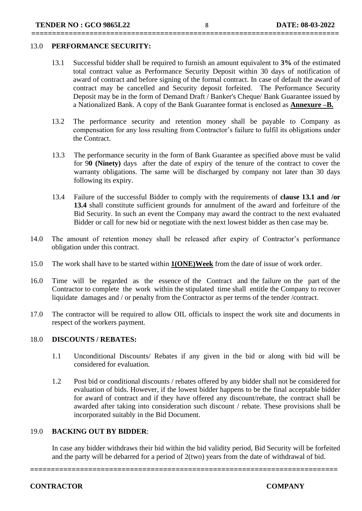### 13.0 **PERFORMANCE SECURITY:**

- 13.1 Successful bidder shall be required to furnish an amount equivalent to **3%** of the estimated total contract value as Performance Security Deposit within 30 days of notification of award of contract and before signing of the formal contract. In case of default the award of contract may be cancelled and Security deposit forfeited. The Performance Security Deposit may be in the form of Demand Draft / Banker's Cheque/ Bank Guarantee issued by a Nationalized Bank. A copy of the Bank Guarantee format is enclosed as **Annexure –B.**
- 13.2 The performance security and retention money shall be payable to Company as compensation for any loss resulting from Contractor's failure to fulfil its obligations under the Contract.
- 13.3 The performance security in the form of Bank Guarantee as specified above must be valid for 9**0 (Ninety)** days after the date of expiry of the tenure of the contract to cover the warranty obligations. The same will be discharged by company not later than 30 days following its expiry.
- 13.4 Failure of the successful Bidder to comply with the requirements of **clause 13.1 and /or 13.4** shall constitute sufficient grounds for annulment of the award and forfeiture of the Bid Security. In such an event the Company may award the contract to the next evaluated Bidder or call for new bid or negotiate with the next lowest bidder as then case may be.
- 14.0 The amount of retention money shall be released after expiry of Contractor's performance obligation under this contract.
- 15.0 The work shall have to be started within **1(ONE)Week** from the date of issue of work order.
- 16.0 Time will be regarded as the essence of the Contract and the failure on the part of the Contractor to complete the work within the stipulated time shall entitle the Company to recover liquidate damages and / or penalty from the Contractor as per terms of the tender /contract.
- 17.0 The contractor will be required to allow OIL officials to inspect the work site and documents in respect of the workers payment.

### 18.0 **DISCOUNTS / REBATES:**

- 1.1 Unconditional Discounts/ Rebates if any given in the bid or along with bid will be considered for evaluation.
- 1.2 Post bid or conditional discounts / rebates offered by any bidder shall not be considered for evaluation of bids. However, if the lowest bidder happens to be the final acceptable bidder for award of contract and if they have offered any discount/rebate, the contract shall be awarded after taking into consideration such discount / rebate. These provisions shall be incorporated suitably in the Bid Document.

### 19.0 **BACKING OUT BY BIDDER**:

In case any bidder withdraws their bid within the bid validity period, Bid Security will be forfeited and the party will be debarred for a period of 2(two) years from the date of withdrawal of bid.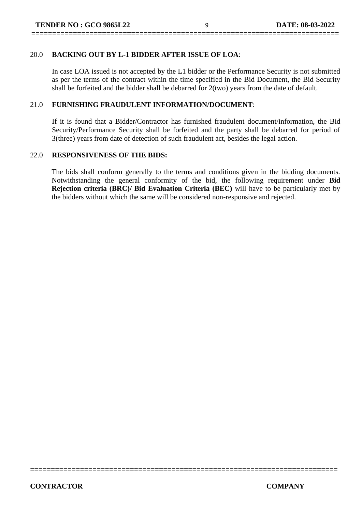### 20.0 **BACKING OUT BY L-1 BIDDER AFTER ISSUE OF LOA**:

In case LOA issued is not accepted by the L1 bidder or the Performance Security is not submitted as per the terms of the contract within the time specified in the Bid Document, the Bid Security shall be forfeited and the bidder shall be debarred for 2(two) years from the date of default.

**==========================================================================**

### 21.0 **FURNISHING FRAUDULENT INFORMATION/DOCUMENT**:

If it is found that a Bidder/Contractor has furnished fraudulent document/information, the Bid Security/Performance Security shall be forfeited and the party shall be debarred for period of 3(three) years from date of detection of such fraudulent act, besides the legal action.

### 22.0 **RESPONSIVENESS OF THE BIDS:**

The bids shall conform generally to the terms and conditions given in the bidding documents. Notwithstanding the general conformity of the bid, the following requirement under **Bid Rejection criteria (BRC)/ Bid Evaluation Criteria (BEC)** will have to be particularly met by the bidders without which the same will be considered non-responsive and rejected.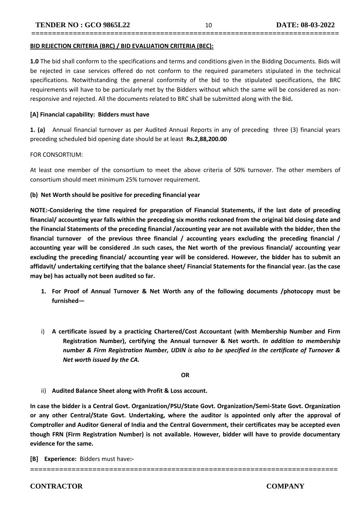## **==========================================================================**

### **BID REJECTION CRITERIA (BRC) / BID EVALUATION CRITERIA (BEC):**

**1.0** The bid shall conform to the specifications and terms and conditions given in the Bidding Documents. Bids will be rejected in case services offered do not conform to the required parameters stipulated in the technical specifications. Notwithstanding the general conformity of the bid to the stipulated specifications, the BRC requirements will have to be particularly met by the Bidders without which the same will be considered as nonresponsive and rejected. All the documents related to BRC shall be submitted along with the Bid**.**

### **[A] Financial capability: Bidders must have**

**1. (a)** Annual financial turnover as per Audited Annual Reports in any of preceding three (3) financial years preceding scheduled bid opening date should be at least **Rs.2,88,200.00**

### FOR CONSORTIUM:

At least one member of the consortium to meet the above criteria of 50% turnover. The other members of consortium should meet minimum 25% turnover requirement.

**(b) Net Worth should be positive for preceding financial year**

**NOTE:-Considering the time required for preparation of Financial Statements, if the last date of preceding financial/ accounting year falls within the preceding six months reckoned from the original bid closing date and the Financial Statements of the preceding financial /accounting year are not available with the bidder, then the financial turnover of the previous three financial / accounting years excluding the preceding financial / accounting year will be considered .In such cases, the Net worth of the previous financial/ accounting year excluding the preceding financial/ accounting year will be considered. However, the bidder has to submit an affidavit/ undertaking certifying that the balance sheet/ Financial Statements for the financial year. (as the case may be) has actually not been audited so far.**

- **1. For Proof of Annual Turnover & Net Worth any of the following documents /photocopy must be furnished—**
- i) **A certificate issued by a practicing Chartered/Cost Accountant (with Membership Number and Firm Registration Number), certifying the Annual turnover & Net worth.** *In addition to membership number & Firm Registration Number, UDIN is also to be specified in the certificate of Turnover & Net worth issued by the CA.*

**OR**

ii) **Audited Balance Sheet along with Profit & Loss account.**

**In case the bidder is a Central Govt. Organization/PSU/State Govt. Organization/Semi-State Govt. Organization or any other Central/State Govt. Undertaking, where the auditor is appointed only after the approval of Comptroller and Auditor General of India and the Central Government, their certificates may be accepted even though FRN (Firm Registration Number) is not available. However, bidder will have to provide documentary evidence for the same.**

**[B] Experience:** Bidders must have**:-**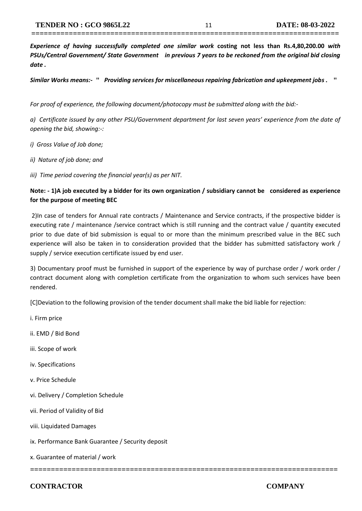*Experience of having successfully completed one similar work* **costing not less than Rs.4,80,200.00** *with PSUs/Central Government/ State Government in previous 7 years to be reckoned from the original bid closing date .*

**==========================================================================**

*Similar Works means:-* " *Providing services for miscellaneous repairing fabrication and upkeepment jobs*. "

*For proof of experience, the following document/photocopy must be submitted along with the bid:-*

*a) Certificate issued by any other PSU/Government department for last seven years' experience from the date of opening the bid, showing:-:*

*i) Gross Value of Job done;*

*ii) Nature of job done; and*

*iii) Time period covering the financial year(s) as per NIT.*

### **Note: - 1)A job executed by a bidder for its own organization / subsidiary cannot be considered as experience for the purpose of meeting BEC**

2)In case of tenders for Annual rate contracts / Maintenance and Service contracts, if the prospective bidder is executing rate / maintenance /service contract which is still running and the contract value / quantity executed prior to due date of bid submission is equal to or more than the minimum prescribed value in the BEC such experience will also be taken in to consideration provided that the bidder has submitted satisfactory work / supply / service execution certificate issued by end user.

3) Documentary proof must be furnished in support of the experience by way of purchase order / work order / contract document along with completion certificate from the organization to whom such services have been rendered.

**==========================================================================**

[C]Deviation to the following provision of the tender document shall make the bid liable for rejection:

- i. Firm price
- ii. EMD / Bid Bond
- iii. Scope of work
- iv. Specifications
- v. Price Schedule
- vi. Delivery / Completion Schedule
- vii. Period of Validity of Bid
- viii. Liquidated Damages
- ix. Performance Bank Guarantee / Security deposit
- x. Guarantee of material / work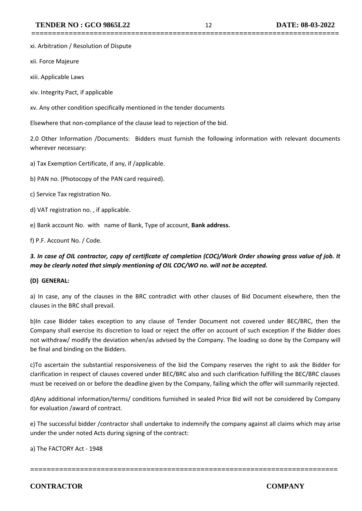xi. Arbitration / Resolution of Dispute

xii. Force Majeure

xiii. Applicable Laws

xiv. Integrity Pact, if applicable

xv. Any other condition specifically mentioned in the tender documents

Elsewhere that non-compliance of the clause lead to rejection of the bid.

2.0 Other Information /Documents: Bidders must furnish the following information with relevant documents wherever necessary:

**==========================================================================**

a) Tax Exemption Certificate, if any, if /applicable.

b) PAN no. (Photocopy of the PAN card required).

c) Service Tax registration No.

d) VAT registration no. , if applicable.

e) Bank account No. with name of Bank, Type of account, **Bank address.**

f) P.F. Account No. / Code.

### *3. In case of OIL contractor, copy of certificate of completion (COC)/Work Order showing gross value of job. It may be clearly noted that simply mentioning of OIL COC/WO no. will not be accepted.*

### **(D) GENERAL:**

a) In case, any of the clauses in the BRC contradict with other clauses of Bid Document elsewhere, then the clauses in the BRC shall prevail.

b)In case Bidder takes exception to any clause of Tender Document not covered under BEC/BRC, then the Company shall exercise its discretion to load or reject the offer on account of such exception if the Bidder does not withdraw/ modify the deviation when/as advised by the Company. The loading so done by the Company will be final and binding on the Bidders.

c)To ascertain the substantial responsiveness of the bid the Company reserves the right to ask the Bidder for clarification in respect of clauses covered under BEC/BRC also and such clarification fulfilling the BEC/BRC clauses must be received on or before the deadline given by the Company, failing which the offer will summarily rejected.

d)Any additional information/terms/ conditions furnished in sealed Price Bid will not be considered by Company for evaluation /award of contract.

e) The successful bidder /contractor shall undertake to indemnify the company against all claims which may arise under the under noted Acts during signing of the contract:

**==========================================================================**

a) The FACTORY Act - 1948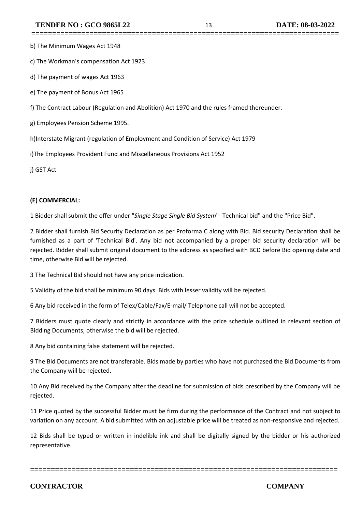**==========================================================================**

b) The Minimum Wages Act 1948

c) The Workman's compensation Act 1923

d) The payment of wages Act 1963

e) The payment of Bonus Act 1965

f) The Contract Labour (Regulation and Abolition) Act 1970 and the rules framed thereunder.

g) Employees Pension Scheme 1995.

h)Interstate Migrant (regulation of Employment and Condition of Service) Act 1979

i)The Employees Provident Fund and Miscellaneous Provisions Act 1952

j) GST Act

### **(E) COMMERCIAL:**

1 Bidder shall submit the offer under "*Single Stage Single Bid System*"- Technical bid" and the "Price Bid".

2 Bidder shall furnish Bid Security Declaration as per Proforma C along with Bid. Bid security Declaration shall be furnished as a part of 'Technical Bid'. Any bid not accompanied by a proper bid security declaration will be rejected. Bidder shall submit original document to the address as specified with BCD before Bid opening date and time, otherwise Bid will be rejected.

3 The Technical Bid should not have any price indication.

5 Validity of the bid shall be minimum 90 days. Bids with lesser validity will be rejected.

6 Any bid received in the form of Telex/Cable/Fax/E-mail/ Telephone call will not be accepted.

7 Bidders must quote clearly and strictly in accordance with the price schedule outlined in relevant section of Bidding Documents; otherwise the bid will be rejected.

8 Any bid containing false statement will be rejected.

9 The Bid Documents are not transferable. Bids made by parties who have not purchased the Bid Documents from the Company will be rejected.

10 Any Bid received by the Company after the deadline for submission of bids prescribed by the Company will be rejected.

11 Price quoted by the successful Bidder must be firm during the performance of the Contract and not subject to variation on any account. A bid submitted with an adjustable price will be treated as non-responsive and rejected.

12 Bids shall be typed or written in indelible ink and shall be digitally signed by the bidder or his authorized representative.

**==========================================================================**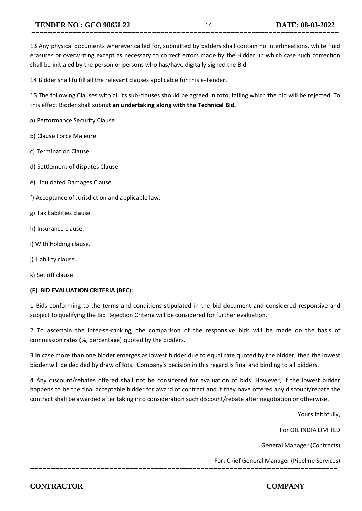13 Any physical documents wherever called for, submitted by bidders shall contain no interlineations, white fluid erasures or overwriting except as necessary to correct errors made by the Bidder, in which case such correction shall be initialed by the person or persons who has/have digitally signed the Bid.

**==========================================================================**

14 Bidder shall fulfill all the relevant clauses applicable for this e-Tender.

15 The following Clauses with all its sub-clauses should be agreed in toto, failing which the bid will be rejected. To this effect Bidder shall submi**t an undertaking along with the Technical Bid.**

- a) Performance Security Clause
- b) Clause Force Majeure
- c) Termination Clause
- d) Settlement of disputes Clause
- e) Liquidated Damages Clause.
- f) Acceptance of Jurisdiction and applicable law.
- g) Tax liabilities clause.
- h) Insurance clause.
- i) With holding clause.
- j) Liability clause.
- k) Set off clause

### **(F) BID EVALUATION CRITERIA (BEC):**

1 Bids conforming to the terms and conditions stipulated in the bid document and considered responsive and subject to qualifying the Bid Rejection Criteria will be considered for further evaluation.

2 To ascertain the inter-se-ranking, the comparison of the responsive bids will be made on the basis of commission rates (%, percentage) quoted by the bidders.

3 In case more than one bidder emerges as lowest bidder due to equal rate quoted by the bidder, then the lowest bidder will be decided by draw of lots. Company's decision in this regard is final and binding to all bidders.

4 Any discount/rebates offered shall not be considered for evaluation of bids. However, if the lowest bidder happens to be the final acceptable bidder for award of contract and if they have offered any discount/rebate the contract shall be awarded after taking into consideration such discount/rebate after negotiation or otherwise.

Yours faithfully,

For OIL INDIA LIMITED

General Manager (Contracts)

For: Chief General Manager (Pipeline Services)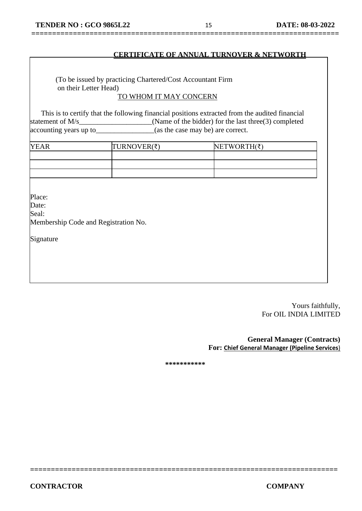# **==========================================================================**

### **CERTIFICATE OF ANNUAL TURNOVER & NETWORTH**

 (To be issued by practicing Chartered/Cost Accountant Firm on their Letter Head)

### TO WHOM IT MAY CONCERN

 This is to certify that the following financial positions extracted from the audited financial statement of  $M/s$  \_\_\_\_\_\_\_\_\_\_\_\_\_\_\_\_\_\_\_\_(Name of the bidder) for the last three(3) completed accounting years up to (as the case may be) are correct.

| <b>YEAR</b> | TURNOVER(そ) | $NETWORTH(\xi)$ |
|-------------|-------------|-----------------|
|             |             |                 |
|             |             |                 |
|             |             |                 |

Place:

Date:

Seal:

Membership Code and Registration No.

Signature

Yours faithfully, For OIL INDIA LIMITED

**General Manager (Contracts) For: Chief General Manager (Pipeline Services**)

**\*\*\*\*\*\*\*\*\*\*\***

**==========================================================================**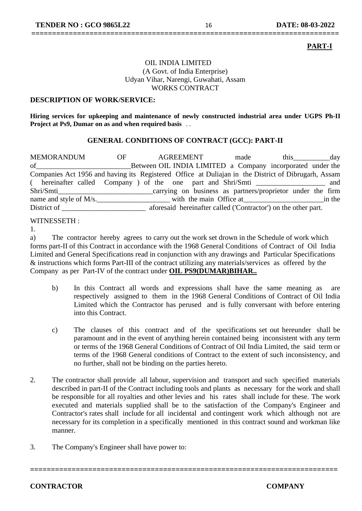**PART-I**

### OIL INDIA LIMITED (A Govt. of India Enterprise) Udyan Vihar, Narengi, Guwahati, Assam WORKS CONTRACT

**==========================================================================**

### **DESCRIPTION OF WORK/SERVICE:**

**Hiring services for upkeeping and maintenance of newly constructed industrial area under UGPS Ph-II Project at Ps9, Dumar on as and when required basis** ..

### **GENERAL CONDITIONS OF CONTRACT (GCC): PART-II**

MEMORANDUM OF AGREEMENT made this day of\_\_\_\_\_\_\_\_\_\_\_\_\_\_\_\_\_\_\_\_\_\_\_\_\_\_Between OIL INDIA LIMITED a Company incorporated under the Companies Act 1956 and having its Registered Office at Duliajan in the District of Dibrugarh, Assam ( hereinafter called Company ) of the one part and Shri/Smti \_\_\_\_\_\_\_\_\_\_\_\_\_\_\_\_\_\_\_ and Shri/Smti\_\_\_\_\_\_\_\_\_\_\_\_\_\_\_\_\_\_\_\_\_\_\_\_\_\_\_\_\_\_carrying on business as partners/proprietor under the firm name and style of M/s.\_\_\_\_\_\_\_\_\_\_\_\_\_\_\_\_\_\_\_\_ with the main Office at\_\_\_\_\_\_\_\_\_\_\_\_\_\_\_\_\_\_\_\_\_\_in the District of \_\_\_\_\_\_\_\_\_\_\_\_\_\_\_\_\_\_\_\_\_\_\_\_\_\_\_\_\_\_\_\_\_ aforesaid hereinafter called ('Contractor') on the other part.

### WITNESSETH :

1.

a) The contractor hereby agrees to carry out the work set drown in the Schedule of work which forms part-II of this Contract in accordance with the 1968 General Conditions of Contract of Oil India Limited and General Specifications read in conjunction with any drawings and Particular Specifications & instructions which forms Part-III of the contract utilizing any materials/services as offered by the Company as per Part-IV of the contract under **OIL PS9(DUMAR)BIHAR..**

- b) In this Contract all words and expressions shall have the same meaning as are respectively assigned to them in the 1968 General Conditions of Contract of Oil India Limited which the Contractor has perused and is fully conversant with before entering into this Contract.
- c) The clauses of this contract and of the specifications set out hereunder shall be paramount and in the event of anything herein contained being inconsistent with any term or terms of the 1968 General Conditions of Contract of Oil India Limited, the said term or terms of the 1968 General conditions of Contract to the extent of such inconsistency, and no further, shall not be binding on the parties hereto.
- 2. The contractor shall provide all labour, supervision and transport and such specified materials described in part-II of the Contract including tools and plants as necessary for the work and shall be responsible for all royalties and other levies and his rates shall include for these. The work executed and materials supplied shall be to the satisfaction of the Company's Engineer and Contractor's rates shall include for all incidental and contingent work which although not are necessary for its completion in a specifically mentioned in this contract sound and workman like manner.

**==========================================================================**

3. The Company's Engineer shall have power to: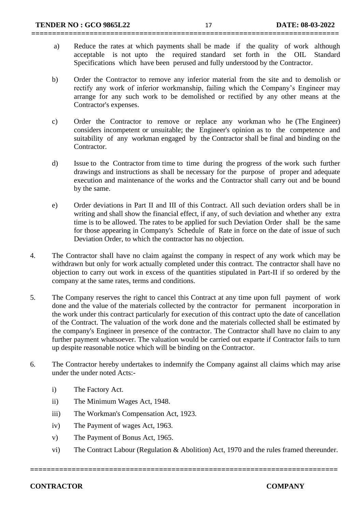a) Reduce the rates at which payments shall be made if the quality of work although acceptable is not upto the required standard set forth in the OIL Standard Specifications which have been perused and fully understood by the Contractor.

**==========================================================================**

- b) Order the Contractor to remove any inferior material from the site and to demolish or rectify any work of inferior workmanship, failing which the Company's Engineer may arrange for any such work to be demolished or rectified by any other means at the Contractor's expenses.
- c) Order the Contractor to remove or replace any workman who he (The Engineer) considers incompetent or unsuitable; the Engineer's opinion as to the competence and suitability of any workman engaged by the Contractor shall be final and binding on the Contractor.
- d) Issue to the Contractor from time to time during the progress of the work such further drawings and instructions as shall be necessary for the purpose of proper and adequate execution and maintenance of the works and the Contractor shall carry out and be bound by the same.
- e) Order deviations in Part II and III of this Contract. All such deviation orders shall be in writing and shall show the financial effect, if any, of such deviation and whether any extra time is to be allowed. The rates to be applied for such Deviation Order shall be the same for those appearing in Company's Schedule of Rate in force on the date of issue of such Deviation Order, to which the contractor has no objection.
- 4. The Contractor shall have no claim against the company in respect of any work which may be withdrawn but only for work actually completed under this contract. The contractor shall have no objection to carry out work in excess of the quantities stipulated in Part-II if so ordered by the company at the same rates, terms and conditions.
- 5. The Company reserves the right to cancel this Contract at any time upon full payment of work done and the value of the materials collected by the contractor for permanent incorporation in the work under this contract particularly for execution of this contract upto the date of cancellation of the Contract. The valuation of the work done and the materials collected shall be estimated by the company's Engineer in presence of the contractor. The Contractor shall have no claim to any further payment whatsoever. The valuation would be carried out exparte if Contractor fails to turn up despite reasonable notice which will be binding on the Contractor.
- 6. The Contractor hereby undertakes to indemnify the Company against all claims which may arise under the under noted Acts:
	- i) The Factory Act.
	- ii) The Minimum Wages Act, 1948.
	- iii) The Workman's Compensation Act, 1923.
	- iv) The Payment of wages Act, 1963.
	- v) The Payment of Bonus Act, 1965.
	- vi) The Contract Labour (Regulation & Abolition) Act, 1970 and the rules framed thereunder.

**==========================================================================**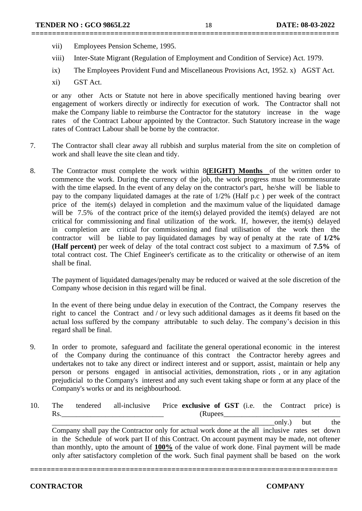- vii) Employees Pension Scheme, 1995.
- viii) Inter-State Migrant (Regulation of Employment and Condition of Service) Act. 1979.
- ix) The Employees Provident Fund and Miscellaneous Provisions Act, 1952. x) AGST Act.
- xi) GST Act.

or any other Acts or Statute not here in above specifically mentioned having bearing over engagement of workers directly or indirectly for execution of work. The Contractor shall not make the Company liable to reimburse the Contractor for the statutory increase in the wage rates of the Contract Labour appointed by the Contractor. Such Statutory increase in the wage rates of Contract Labour shall be borne by the contractor.

- 7. The Contractor shall clear away all rubbish and surplus material from the site on completion of work and shall leave the site clean and tidy.
- 8. The Contractor must complete the work within 8**(EIGHT) Months** of the written order to commence the work. During the currency of the job, the work progress must be commensurate with the time elapsed. In the event of any delay on the contractor's part, he/she will be liable to pay to the company liquidated damages at the rate of 1/2% (Half p.c ) per week of the contract price of the item(s) delayed in completion and the maximum value of the liquidated damage will be 7.5% of the contract price of the item(s) delayed provided the item(s) delayed are not critical for commissioning and final utilization of the work. If, however, the item(s) delayed in completion are critical for commissioning and final utilisation of the work then the contractor will be liable to pay liquidated damages by way of penalty at the rate of **1/2% (Half percent)** per week of delay of the total contract cost subject to a maximum of **7.5%** of total contract cost. The Chief Engineer's certificate as to the criticality or otherwise of an item shall be final.

The payment of liquidated damages/penalty may be reduced or waived at the sole discretion of the Company whose decision in this regard will be final.

In the event of there being undue delay in execution of the Contract, the Company reserves the right to cancel the Contract and / or levy such additional damages as it deems fit based on the actual loss suffered by the company attributable to such delay. The company's decision in this regard shall be final.

9. In order to promote, safeguard and facilitate the general operational economic in the interest of the Company during the continuance of this contract the Contractor hereby agrees and undertakes not to take any direct or indirect interest and or support, assist, maintain or help any person or persons engaged in antisocial activities, demonstration, riots , or in any agitation prejudicial to the Company's interest and any such event taking shape or form at any place of the Company's works or and its neighbourhood.

| 10. | The | tendered | all-inclusive Price exclusive of GST (i.e. the Contract price) is |         |        |     |     |
|-----|-----|----------|-------------------------------------------------------------------|---------|--------|-----|-----|
|     | KS. |          |                                                                   | (Rupees |        |     |     |
|     |     |          |                                                                   |         | only.) | but | the |
|     |     |          |                                                                   |         |        |     |     |

Company shall pay the Contractor only for actual work done at the all inclusive rates set down in the Schedule of work part II of this Contract. On account payment may be made, not oftener than monthly, upto the amount of **100%** of the value of work done. Final payment will be made only after satisfactory completion of the work. Such final payment shall be based on the work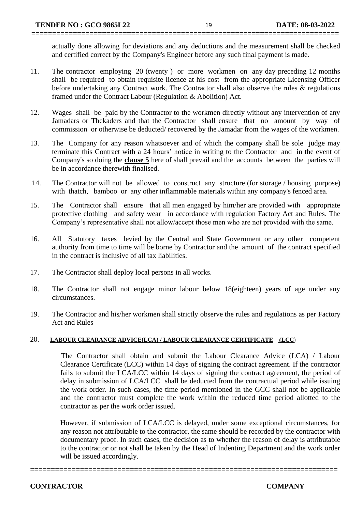actually done allowing for deviations and any deductions and the measurement shall be checked and certified correct by the Company's Engineer before any such final payment is made.

11. The contractor employing 20 (twenty ) or more workmen on any day preceding 12 months shall be required to obtain requisite licence at his cost from the appropriate Licensing Officer before undertaking any Contract work. The Contractor shall also observe the rules & regulations framed under the Contract Labour (Regulation & Abolition) Act.

**==========================================================================**

- 12. Wages shall be paid by the Contractor to the workmen directly without any intervention of any Jamadars or Thekaders and that the Contractor shall ensure that no amount by way of commission or otherwise be deducted/ recovered by the Jamadar from the wages of the workmen.
- 13. The Company for any reason whatsoever and of which the company shall be sole judge may terminate this Contract with a 24 hours' notice in writing to the Contractor and in the event of Company's so doing the **clause 5** here of shall prevail and the accounts between the parties will be in accordance therewith finalised.
- 14. The Contractor will not be allowed to construct any structure (for storage / housing purpose) with thatch, bamboo or any other inflammable materials within any company's fenced area.
- 15. The Contractor shall ensure that all men engaged by him/her are provided with appropriate protective clothing and safety wear in accordance with regulation Factory Act and Rules. The Company's representative shall not allow/accept those men who are not provided with the same.
- 16. All Statutory taxes levied by the Central and State Government or any other competent authority from time to time will be borne by Contractor and the amount of the contract specified in the contract is inclusive of all tax liabilities.
- 17. The Contractor shall deploy local persons in all works.
- 18. The Contractor shall not engage minor labour below 18(eighteen) years of age under any circumstances.
- 19. The Contractor and his/her workmen shall strictly observe the rules and regulations as per Factory Act and Rules

### 20. **LABOUR CLEARANCE ADVICE(LCA) / LABOUR CLEARANCE CERTIFICATE (LCC**)

 The Contractor shall obtain and submit the Labour Clearance Advice (LCA) / Labour Clearance Certificate (LCC) within 14 days of signing the contract agreement. If the contractor fails to submit the LCA/LCC within 14 days of signing the contract agreement, the period of delay in submission of LCA/LCC shall be deducted from the contractual period while issuing the work order. In such cases, the time period mentioned in the GCC shall not be applicable and the contractor must complete the work within the reduced time period allotted to the contractor as per the work order issued.

However, if submission of LCA/LCC is delayed, under some exceptional circumstances, for any reason not attributable to the contractor, the same should be recorded by the contractor with documentary proof. In such cases, the decision as to whether the reason of delay is attributable to the contractor or not shall be taken by the Head of Indenting Department and the work order will be issued accordingly.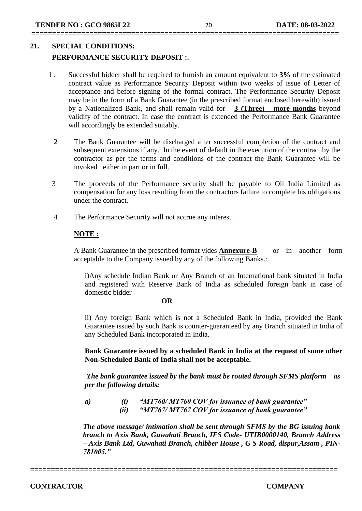### **21. SPECIAL CONDITIONS: PERFORMANCE SECURITY DEPOSIT :.**

- 1 . Successful bidder shall be required to furnish an amount equivalent to **3%** of the estimated contract value as Performance Security Deposit within two weeks of issue of Letter of acceptance and before signing of the formal contract. The Performance Security Deposit may be in the form of a Bank Guarantee (in the prescribed format enclosed herewith) issued by a Nationalized Bank, and shall remain valid for **3 (Three) more months** beyond validity of the contract. In case the contract is extended the Performance Bank Guarantee will accordingly be extended suitably.
	- 2 The Bank Guarantee will be discharged after successful completion of the contract and subsequent extensions if any. In the event of default in the execution of the contract by the contractor as per the terms and conditions of the contract the Bank Guarantee will be invoked either in part or in full.
	- 3 The proceeds of the Performance security shall be payable to Oil India Limited as compensation for any loss resulting from the contractors failure to complete his obligations under the contract.
	- 4 The Performance Security will not accrue any interest.

### **NOTE :**

A Bank Guarantee in the prescribed format vides **Annexure-B** or in another form acceptable to the Company issued by any of the following Banks.:

i)Any schedule Indian Bank or Any Branch of an International bank situated in India and registered with Reserve Bank of India as scheduled foreign bank in case of domestic bidder

### **OR**

ii) Any foreign Bank which is not a Scheduled Bank in India, provided the Bank Guarantee issued by such Bank is counter-guaranteed by any Branch situated in India of any Scheduled Bank incorporated in India.

**Bank Guarantee issued by a scheduled Bank in India at the request of some other Non-Scheduled Bank of India shall not be acceptable.**

*The bank guarantee issued by the bank must be routed through SFMS platform as per the following details:*

*a) (i) "MT760/ MT760 COV for issuance of bank guarantee" (ii) "MT767/ MT767 COV for issuance of bank guarantee"*

*The above message/ intimation shall be sent through SFMS by the BG issuing bank branch to Axis Bank, Guwahati Branch, IFS Code- UTIB0000140, Branch Address – Axis Bank Ltd, Guwahati Branch, chibber House , G S Road, dispur,Assam , PIN-781005."*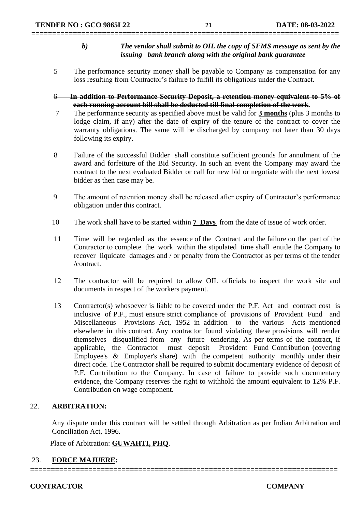### *b) The vendor shall submit to OIL the copy of SFMS message as sent by the issuing bank branch along with the original bank guarantee*

5 The performance security money shall be payable to Company as compensation for any loss resulting from Contractor's failure to fulfill its obligations under the Contract.

**==========================================================================**

- 6 **In addition to Performance Security Deposit, a retention money equivalent to 5% of each running account bill shall be deducted till final completion of the work.**
- 7 The performance security as specified above must be valid for **3 months** (plus 3 months to lodge claim, if any) after the date of expiry of the tenure of the contract to cover the warranty obligations. The same will be discharged by company not later than 30 days following its expiry.
- 8 Failure of the successful Bidder shall constitute sufficient grounds for annulment of the award and forfeiture of the Bid Security. In such an event the Company may award the contract to the next evaluated Bidder or call for new bid or negotiate with the next lowest bidder as then case may be.
- 9 The amount of retention money shall be released after expiry of Contractor's performance obligation under this contract.
- 10 The work shall have to be started within **7 Days** from the date of issue of work order.
- 11 Time will be regarded as the essence of the Contract and the failure on the part of the Contractor to complete the work within the stipulated time shall entitle the Company to recover liquidate damages and / or penalty from the Contractor as per terms of the tender /contract.
- 12 The contractor will be required to allow OIL officials to inspect the work site and documents in respect of the workers payment.
- 13 Contractor(s) whosoever is liable to be covered under the P.F. Act and contract cost is inclusive of P.F., must ensure strict compliance of provisions of Provident Fund and Miscellaneous Provisions Act, 1952 in addition to the various Acts mentioned elsewhere in this contract. Any contractor found violating these provisions will render themselves disqualified from any future tendering. As per terms of the contract, if applicable, the Contractor must deposit Provident Fund Contribution (covering Employee's  $\&$  Employer's share) with the competent authority monthly under their direct code. The Contractor shall be required to submit documentary evidence of deposit of P.F. Contribution to the Company. In case of failure to provide such documentary evidence, the Company reserves the right to withhold the amount equivalent to 12% P.F. Contribution on wage component.

### 22. **ARBITRATION:**

Any dispute under this contract will be settled through Arbitration as per Indian Arbitration and Conciliation Act, 1996.

Place of Arbitration: **GUWAHTI, PHQ**.

### 23. **FORCE MAJUERE:**

**==========================================================================**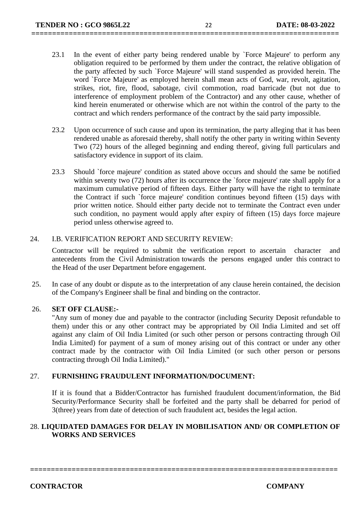23.1 In the event of either party being rendered unable by `Force Majeure' to perform any obligation required to be performed by them under the contract, the relative obligation of the party affected by such `Force Majeure' will stand suspended as provided herein. The word `Force Majeure' as employed herein shall mean acts of God, war, revolt, agitation, strikes, riot, fire, flood, sabotage, civil commotion, road barricade (but not due to interference of employment problem of the Contractor) and any other cause, whether of kind herein enumerated or otherwise which are not within the control of the party to the contract and which renders performance of the contract by the said party impossible.

**==========================================================================**

- 23.2 Upon occurrence of such cause and upon its termination, the party alleging that it has been rendered unable as aforesaid thereby, shall notify the other party in writing within Seventy Two (72) hours of the alleged beginning and ending thereof, giving full particulars and satisfactory evidence in support of its claim.
- 23.3 Should `force majeure' condition as stated above occurs and should the same be notified within seventy two (72) hours after its occurrence the `force majeure' rate shall apply for a maximum cumulative period of fifteen days. Either party will have the right to terminate the Contract if such `force majeure' condition continues beyond fifteen (15) days with prior written notice. Should either party decide not to terminate the Contract even under such condition, no payment would apply after expiry of fifteen (15) days force majeure period unless otherwise agreed to.

### 24. I.B. VERIFICATION REPORT AND SECURITY REVIEW:

Contractor will be required to submit the verification report to ascertain character and antecedents from the Civil Administration towards the persons engaged under this contract to the Head of the user Department before engagement.

25. In case of any doubt or dispute as to the interpretation of any clause herein contained, the decision of the Company's Engineer shall be final and binding on the contractor.

### 26. **SET OFF CLAUSE:-**

"Any sum of money due and payable to the contractor (including Security Deposit refundable to them) under this or any other contract may be appropriated by Oil India Limited and set off against any claim of Oil India Limited (or such other person or persons contracting through Oil India Limited) for payment of a sum of money arising out of this contract or under any other contract made by the contractor with Oil India Limited (or such other person or persons contracting through Oil India Limited)."

### 27. **FURNISHING FRAUDULENT INFORMATION/DOCUMENT:**

If it is found that a Bidder/Contractor has furnished fraudulent document/information, the Bid Security/Performance Security shall be forfeited and the party shall be debarred for period of 3(three) years from date of detection of such fraudulent act, besides the legal action.

### 28. **LIQUIDATED DAMAGES FOR DELAY IN MOBILISATION AND/ OR COMPLETION OF WORKS AND SERVICES**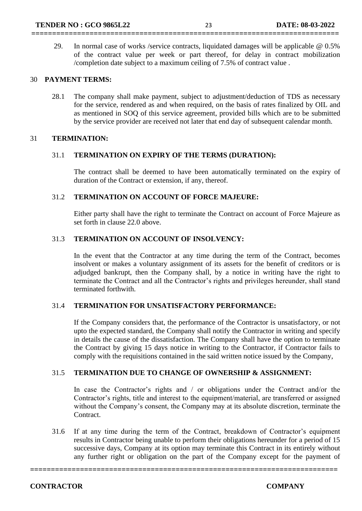29. In normal case of works /service contracts, liquidated damages will be applicable @ 0.5% of the contract value per week or part thereof, for delay in contract mobilization /completion date subject to a maximum ceiling of 7.5% of contract value .

**==========================================================================**

### 30 **PAYMENT TERMS:**

28.1 The company shall make payment, subject to adjustment/deduction of TDS as necessary for the service, rendered as and when required, on the basis of rates finalized by OIL and as mentioned in SOQ of this service agreement, provided bills which are to be submitted by the service provider are received not later that end day of subsequent calendar month.

### 31 **TERMINATION:**

### 31.1 **TERMINATION ON EXPIRY OF THE TERMS (DURATION):**

The contract shall be deemed to have been automatically terminated on the expiry of duration of the Contract or extension, if any, thereof.

### 31.2 **TERMINATION ON ACCOUNT OF FORCE MAJEURE:**

Either party shall have the right to terminate the Contract on account of Force Majeure as set forth in clause 22.0 above.

### 31.3 **TERMINATION ON ACCOUNT OF INSOLVENCY:**

In the event that the Contractor at any time during the term of the Contract, becomes insolvent or makes a voluntary assignment of its assets for the benefit of creditors or is adjudged bankrupt, then the Company shall, by a notice in writing have the right to terminate the Contract and all the Contractor's rights and privileges hereunder, shall stand terminated forthwith.

### 31.4 **TERMINATION FOR UNSATISFACTORY PERFORMANCE:**

If the Company considers that, the performance of the Contractor is unsatisfactory, or not upto the expected standard, the Company shall notify the Contractor in writing and specify in details the cause of the dissatisfaction. The Company shall have the option to terminate the Contract by giving 15 days notice in writing to the Contractor, if Contractor fails to comply with the requisitions contained in the said written notice issued by the Company,

### 31.5 **TERMINATION DUE TO CHANGE OF OWNERSHIP & ASSIGNMENT:**

In case the Contractor's rights and / or obligations under the Contract and/or the Contractor's rights, title and interest to the equipment/material, are transferred or assigned without the Company's consent, the Company may at its absolute discretion, terminate the Contract.

31.6 If at any time during the term of the Contract, breakdown of Contractor's equipment results in Contractor being unable to perform their obligations hereunder for a period of 15 successive days, Company at its option may terminate this Contract in its entirely without any further right or obligation on the part of the Company except for the payment of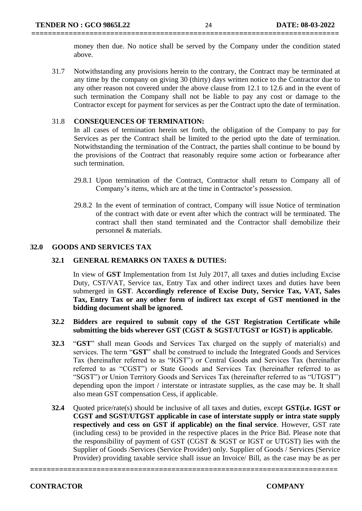money then due. No notice shall be served by the Company under the condition stated above.

31.7 Notwithstanding any provisions herein to the contrary, the Contract may be terminated at any time by the company on giving 30 (thirty) days written notice to the Contractor due to any other reason not covered under the above clause from 12.1 to 12.6 and in the event of such termination the Company shall not be liable to pay any cost or damage to the Contractor except for payment for services as per the Contract upto the date of termination.

**==========================================================================**

### 31.8 **CONSEQUENCES OF TERMINATION:**

In all cases of termination herein set forth, the obligation of the Company to pay for Services as per the Contract shall be limited to the period upto the date of termination. Notwithstanding the termination of the Contract, the parties shall continue to be bound by the provisions of the Contract that reasonably require some action or forbearance after such termination.

- 29.8.1 Upon termination of the Contract, Contractor shall return to Company all of Company's items, which are at the time in Contractor's possession.
- 29.8.2 In the event of termination of contract, Company will issue Notice of termination of the contract with date or event after which the contract will be terminated. The contract shall then stand terminated and the Contractor shall demobilize their personnel & materials.

### **32.0 GOODS AND SERVICES TAX**

### **32.1 GENERAL REMARKS ON TAXES & DUTIES:**

In view of **GST** Implementation from 1st July 2017, all taxes and duties including Excise Duty, CST/VAT, Service tax, Entry Tax and other indirect taxes and duties have been submerged in **GST**. **Accordingly reference of Excise Duty, Service Tax, VAT, Sales Tax, Entry Tax or any other form of indirect tax except of GST mentioned in the bidding document shall be ignored.** 

### **32.2 Bidders are required to submit copy of the GST Registration Certificate while submitting the bids wherever GST (CGST & SGST/UTGST or IGST) is applicable.**

- **32.3** "**GST**" shall mean Goods and Services Tax charged on the supply of material(s) and services. The term "**GST**" shall be construed to include the Integrated Goods and Services Tax (hereinafter referred to as "IGST") or Central Goods and Services Tax (hereinafter referred to as "CGST") or State Goods and Services Tax (hereinafter referred to as "SGST") or Union Territory Goods and Services Tax (hereinafter referred to as "UTGST") depending upon the import / interstate or intrastate supplies, as the case may be. It shall also mean GST compensation Cess, if applicable.
- **32.4** Quoted price/rate(s) should be inclusive of all taxes and duties, except **GST(i.e. IGST or CGST and SGST/UTGST applicable in case of interstate supply or intra state supply respectively and cess on GST if applicable) on the final service**. However, GST rate (including cess) to be provided in the respective places in the Price Bid. Please note that the responsibility of payment of GST (CGST & SGST or IGST or UTGST) lies with the Supplier of Goods /Services (Service Provider) only. Supplier of Goods / Services (Service Provider) providing taxable service shall issue an Invoice/ Bill, as the case may be as per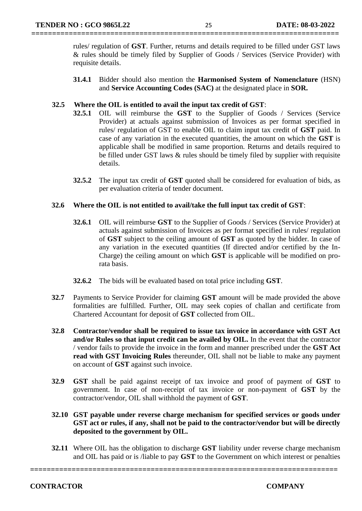rules/ regulation of **GST**. Further, returns and details required to be filled under GST laws & rules should be timely filed by Supplier of Goods / Services (Service Provider) with requisite details.

**==========================================================================**

**31.4.1** Bidder should also mention the **Harmonised System of Nomenclature** (HSN) and **Service Accounting Codes (SAC)** at the designated place in **SOR.**

### **32.5 Where the OIL is entitled to avail the input tax credit of GST**:

- **32.5.1** OIL will reimburse the **GST** to the Supplier of Goods / Services (Service Provider) at actuals against submission of Invoices as per format specified in rules/ regulation of GST to enable OIL to claim input tax credit of **GST** paid. In case of any variation in the executed quantities, the amount on which the **GST** is applicable shall be modified in same proportion. Returns and details required to be filled under GST laws & rules should be timely filed by supplier with requisite details.
	- **32.5.2** The input tax credit of **GST** quoted shall be considered for evaluation of bids, as per evaluation criteria of tender document.

### **32.6 Where the OIL is not entitled to avail/take the full input tax credit of GST**:

- **32.6.1** OIL will reimburse **GST** to the Supplier of Goods / Services (Service Provider) at actuals against submission of Invoices as per format specified in rules/ regulation of **GST** subject to the ceiling amount of **GST** as quoted by the bidder. In case of any variation in the executed quantities (If directed and/or certified by the In-Charge) the ceiling amount on which **GST** is applicable will be modified on prorata basis.
- **32.6.2** The bids will be evaluated based on total price including **GST**.
- **32.7** Payments to Service Provider for claiming **GST** amount will be made provided the above formalities are fulfilled. Further, OIL may seek copies of challan and certificate from Chartered Accountant for deposit of **GST** collected from OIL.
- **32.8 Contractor/vendor shall be required to issue tax invoice in accordance with GST Act and/or Rules so that input credit can be availed by OIL.** In the event that the contractor / vendor fails to provide the invoice in the form and manner prescribed under the **GST Act read with GST Invoicing Rules** thereunder, OIL shall not be liable to make any payment on account of **GST** against such invoice.
- **32.9 GST** shall be paid against receipt of tax invoice and proof of payment of **GST** to government. In case of non-receipt of tax invoice or non-payment of **GST** by the contractor/vendor, OIL shall withhold the payment of **GST**.
- **32.10 GST payable under reverse charge mechanism for specified services or goods under GST act or rules, if any, shall not be paid to the contractor/vendor but will be directly deposited to the government by OIL.**
- **32.11** Where OIL has the obligation to discharge **GST** liability under reverse charge mechanism and OIL has paid or is /liable to pay **GST** to the Government on which interest or penalties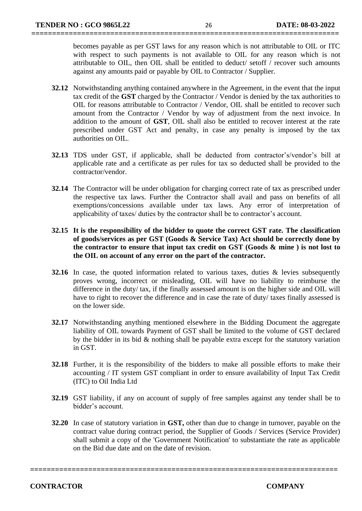becomes payable as per GST laws for any reason which is not attributable to OIL or ITC with respect to such payments is not available to OIL for any reason which is not attributable to OIL, then OIL shall be entitled to deduct/ setoff / recover such amounts against any amounts paid or payable by OIL to Contractor / Supplier.

- **32.12** Notwithstanding anything contained anywhere in the Agreement, in the event that the input tax credit of the **GST** charged by the Contractor / Vendor is denied by the tax authorities to OIL for reasons attributable to Contractor / Vendor, OIL shall be entitled to recover such amount from the Contractor / Vendor by way of adjustment from the next invoice. In addition to the amount of **GST**, OIL shall also be entitled to recover interest at the rate prescribed under GST Act and penalty, in case any penalty is imposed by the tax authorities on OIL.
- **32.13** TDS under GST, if applicable, shall be deducted from contractor's/vendor's bill at applicable rate and a certificate as per rules for tax so deducted shall be provided to the contractor/vendor.
- **32.14** The Contractor will be under obligation for charging correct rate of tax as prescribed under the respective tax laws. Further the Contractor shall avail and pass on benefits of all exemptions/concessions available under tax laws. Any error of interpretation of applicability of taxes/ duties by the contractor shall be to contractor's account.
- **32.15 It is the responsibility of the bidder to quote the correct GST rate. The classification of goods/services as per GST (Goods & Service Tax) Act should be correctly done by the contractor to ensure that input tax credit on GST (Goods & mine ) is not lost to the OIL on account of any error on the part of the contractor.**
- **32.16** In case, the quoted information related to various taxes, duties & levies subsequently proves wrong, incorrect or misleading, OIL will have no liability to reimburse the difference in the duty/ tax, if the finally assessed amount is on the higher side and OIL will have to right to recover the difference and in case the rate of duty/ taxes finally assessed is on the lower side.
- **32.17** Notwithstanding anything mentioned elsewhere in the Bidding Document the aggregate liability of OIL towards Payment of GST shall be limited to the volume of GST declared by the bidder in its bid  $&$  nothing shall be payable extra except for the statutory variation in GST.
- **32.18** Further, it is the responsibility of the bidders to make all possible efforts to make their accounting / IT system GST compliant in order to ensure availability of Input Tax Credit (ITC) to Oil India Ltd
- **32.19** GST liability, if any on account of supply of free samples against any tender shall be to bidder's account.
- **32.20** In case of statutory variation in **GST,** other than due to change in turnover, payable on the contract value during contract period, the Supplier of Goods / Services (Service Provider) shall submit a copy of the 'Government Notification' to substantiate the rate as applicable on the Bid due date and on the date of revision.

**==========================================================================**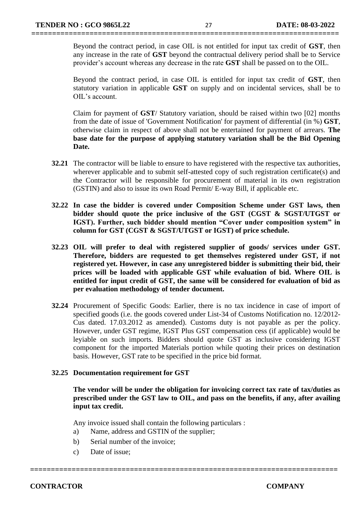Beyond the contract period, in case OIL is not entitled for input tax credit of **GST**, then any increase in the rate of **GST** beyond the contractual delivery period shall be to Service provider's account whereas any decrease in the rate **GST** shall be passed on to the OIL.

**==========================================================================**

Beyond the contract period, in case OIL is entitled for input tax credit of **GST**, then statutory variation in applicable **GST** on supply and on incidental services, shall be to OIL's account.

Claim for payment of **GST**/ Statutory variation, should be raised within two [02] months from the date of issue of 'Government Notification' for payment of differential (in %) **GST**, otherwise claim in respect of above shall not be entertained for payment of arrears. **The base date for the purpose of applying statutory variation shall be the Bid Opening Date.**

- **32.21** The contractor will be liable to ensure to have registered with the respective tax authorities, wherever applicable and to submit self-attested copy of such registration certificate(s) and the Contractor will be responsible for procurement of material in its own registration (GSTIN) and also to issue its own Road Permit/ E-way Bill, if applicable etc.
- **32.22 In case the bidder is covered under Composition Scheme under GST laws, then bidder should quote the price inclusive of the GST (CGST & SGST/UTGST or IGST). Further, such bidder should mention "Cover under composition system" in column for GST (CGST & SGST/UTGST or IGST) of price schedule.**
- **32.23 OIL will prefer to deal with registered supplier of goods/ services under GST. Therefore, bidders are requested to get themselves registered under GST, if not registered yet. However, in case any unregistered bidder is submitting their bid, their prices will be loaded with applicable GST while evaluation of bid. Where OIL is entitled for input credit of GST, the same will be considered for evaluation of bid as per evaluation methodology of tender document.**
- **32.24** Procurement of Specific Goods: Earlier, there is no tax incidence in case of import of specified goods (i.e. the goods covered under List-34 of Customs Notification no. 12/2012- Cus dated. 17.03.2012 as amended). Customs duty is not payable as per the policy. However, under GST regime, IGST Plus GST compensation cess (if applicable) would be leyiable on such imports. Bidders should quote GST as inclusive considering IGST component for the imported Materials portion while quoting their prices on destination basis. However, GST rate to be specified in the price bid format.

### **32.25 Documentation requirement for GST**

**The vendor will be under the obligation for invoicing correct tax rate of tax/duties as prescribed under the GST law to OIL, and pass on the benefits, if any, after availing input tax credit.** 

Any invoice issued shall contain the following particulars :

**==========================================================================**

- a) Name, address and GSTIN of the supplier;
- b) Serial number of the invoice;
- c) Date of issue;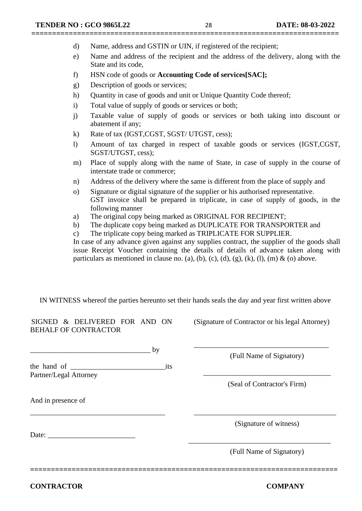d) Name, address and GSTIN or UIN, if registered of the recipient;

**==========================================================================**

- e) Name and address of the recipient and the address of the delivery, along with the State and its code,
- f) HSN code of goods or **Accounting Code of services[SAC];**
- g) Description of goods or services;
- h) Quantity in case of goods and unit or Unique Quantity Code thereof;
- i) Total value of supply of goods or services or both;
- j) Taxable value of supply of goods or services or both taking into discount or abatement if any;
- k) Rate of tax (IGST,CGST, SGST/ UTGST, cess);
- l) Amount of tax charged in respect of taxable goods or services (IGST,CGST, SGST/UTGST, cess);
- m) Place of supply along with the name of State, in case of supply in the course of interstate trade or commerce;
- n) Address of the delivery where the same is different from the place of supply and
- o) Signature or digital signature of the supplier or his authorised representative. GST invoice shall be prepared in triplicate, in case of supply of goods, in the following manner
- a) The original copy being marked as ORIGINAL FOR RECIPIENT;
- b) The duplicate copy being marked as DUPLICATE FOR TRANSPORTER and
- c) The triplicate copy being marked as TRIPLICATE FOR SUPPLIER.

In case of any advance given against any supplies contract, the supplier of the goods shall issue Receipt Voucher containing the details of details of advance taken along with particulars as mentioned in clause no. (a), (b), (c), (d), (g), (k), (l), (m) & (o) above.

IN WITNESS whereof the parties hereunto set their hands seals the day and year first written above

### SIGNED & DELIVERED FOR AND ON BEHALF OF CONTRACTOR

(Signature of Contractor or his legal Attorney)

\_\_\_\_\_\_\_\_\_\_\_\_\_\_\_\_\_\_\_\_\_\_\_\_\_\_\_\_\_\_\_\_\_\_\_\_\_

 $\mathbf{b} \mathbf{v}$ the hand of \_\_\_\_\_\_\_\_\_\_\_\_\_\_\_\_\_\_\_\_\_\_\_\_\_\_its Partner/Legal Attorney And in presence of

\_\_\_\_\_\_\_\_\_\_\_\_\_\_\_\_\_\_\_\_\_\_\_\_\_\_\_\_\_\_\_\_\_\_\_\_\_

Date:

(Full Name of Signatory)

\_\_\_\_\_\_\_\_\_\_\_\_\_\_\_\_\_\_\_\_\_\_\_\_\_\_\_\_\_\_\_\_\_\_\_ (Seal of Contractor's Firm)

(Signature of witness)

\_\_\_\_\_\_\_\_\_\_\_\_\_\_\_\_\_\_\_\_\_\_\_\_\_\_\_\_\_\_\_\_\_\_\_\_\_\_\_

(Full Name of Signatory)

\_\_\_\_\_\_\_\_\_\_\_\_\_\_\_\_\_\_\_\_\_\_\_\_\_\_\_\_\_\_\_\_\_\_\_\_\_\_\_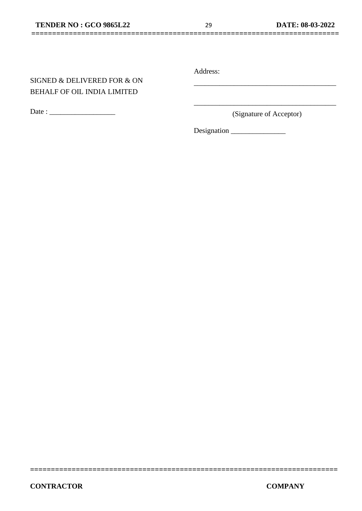BEHALF OF OIL INDIA LIMITED Date : \_\_\_\_\_\_\_\_\_\_\_\_\_\_\_\_\_\_ \_\_\_\_\_\_\_\_\_\_\_\_\_\_\_\_\_\_\_\_\_\_\_\_\_\_\_\_\_\_\_\_\_\_\_\_\_\_\_

Designation \_\_\_\_\_\_\_\_\_\_\_\_\_\_\_

(Signature of Acceptor)

SIGNED & DELIVERED FOR & ON

### Address:

\_\_\_\_\_\_\_\_\_\_\_\_\_\_\_\_\_\_\_\_\_\_\_\_\_\_\_\_\_\_\_\_\_\_\_\_\_\_\_

### **CONTRACTOR COMPANY**

**==========================================================================**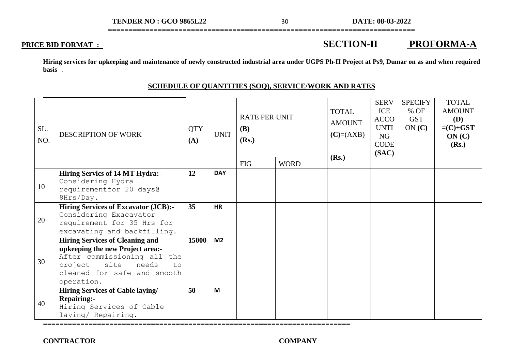**TENDER NO : GCO 9865L22** 30 **DATE: 08-03-2022**

**==========================================================================**

### **PRICE BID FORMAT : SECTION-II PROFORMA-A**

**Hiring services for upkeeping and maintenance of newly constructed industrial area under UGPS Ph-II Project at Ps9, Dumar on as and when required basis** .

### SL. NO. DESCRIPTION OF WORK **OTY (A)** UNIT RATE PER UNIT **(B) (Rs.)** TOTAL AMOUNT **(C)**=(AXB) **(Rs.) SERV** ICE ACCO UNTI NG **CODE (SAC) SPECIFY** % OF GST ON **(C)** TOTAL **AMOUNT (D) =(C)+GST ON (C) (Rs.)** FIG WORD 10 **Hiring Servics of 14 MT Hydra:-** Considering Hydra requirementfor 20 days@ 8Hrs/Day. **12 DAY** 20 **Hiring Services of Excavator (JCB):-** Considering Exacavator requirement for 35 Hrs for excavating and backfilling. **35 HR** 30 **Hiring Services of Cleaning and upkeeping the new Project area:-** After commissioning all the project site needs to cleaned for safe and smooth operation.  $15000$   $\mid$  M<sub>2</sub> 40 **Hiring Services of Cable laying/ Repairing:-** Hiring Services of Cable laying/ Repairing. **50 M**

### **SCHEDULE OF QUANTITIES (SOQ), SERVICE/WORK AND RATES**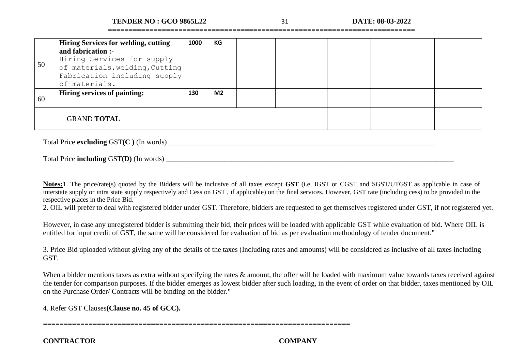**==========================================================================**

| 50 | <b>Hiring Services for welding, cutting</b><br>and fabrication :-<br>Hiring Services for supply<br>of materials, welding, Cutting<br>Fabrication including supply<br>of materials. | 1000 | КG             |  |  |  |
|----|------------------------------------------------------------------------------------------------------------------------------------------------------------------------------------|------|----------------|--|--|--|
| 60 | Hiring services of painting:                                                                                                                                                       | 130  | M <sub>2</sub> |  |  |  |
|    | <b>GRAND TOTAL</b>                                                                                                                                                                 |      |                |  |  |  |

Total Price **excluding** GST(C) (In words)

Total Price **including** GST(**D**) (In words)

**Notes:**1. The price/rate(s) quoted by the Bidders will be inclusive of all taxes except **GST** (i.e. IGST or CGST and SGST/UTGST as applicable in case of interstate supply or intra state supply respectively and Cess on GST , if applicable) on the final services. However, GST rate (including cess) to be provided in the respective places in the Price Bid.

2. OIL will prefer to deal with registered bidder under GST. Therefore, bidders are requested to get themselves registered under GST, if not registered yet.

However, in case any unregistered bidder is submitting their bid, their prices will be loaded with applicable GST while evaluation of bid. Where OIL is entitled for input credit of GST, the same will be considered for evaluation of bid as per evaluation methodology of tender document."

3. Price Bid uploaded without giving any of the details of the taxes (Including rates and amounts) will be considered as inclusive of all taxes including GST.

**==========================================================================**

When a bidder mentions taxes as extra without specifying the rates & amount, the offer will be loaded with maximum value towards taxes received against the tender for comparison purposes. If the bidder emerges as lowest bidder after such loading, in the event of order on that bidder, taxes mentioned by OIL on the Purchase Order/ Contracts will be binding on the bidder."

4. Refer GST Clauses**(Clause no. 45 of GCC).**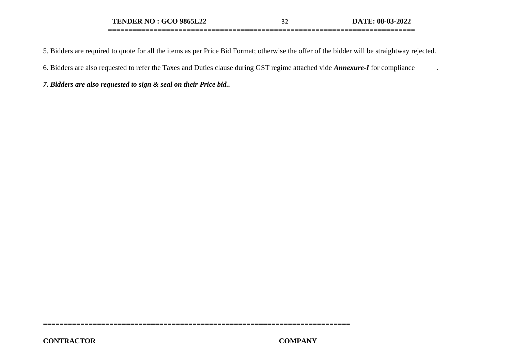**TENDER NO : GCO 9865L22** 32 **DATE: 08-03-2022**

5. Bidders are required to quote for all the items as per Price Bid Format; otherwise the offer of the bidder will be straightway rejected.

**==========================================================================**

6. Bidders are also requested to refer the Taxes and Duties clause during GST regime attached vide *Annexure-I* for compliance .

*7. Bidders are also requested to sign & seal on their Price bid..*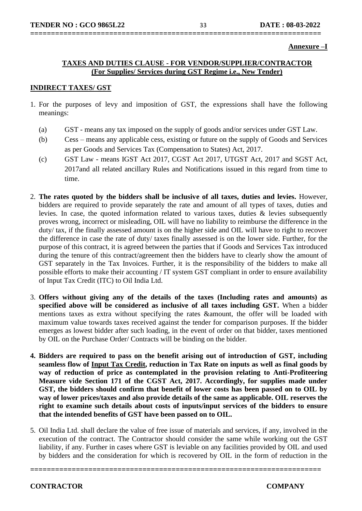### **Annexure –I**

### **TAXES AND DUTIES CLAUSE - FOR VENDOR/SUPPLIER/CONTRACTOR (For Supplies/ Services during GST Regime i.e., New Tender)**

**======================================================================**

### **INDIRECT TAXES/ GST**

- 1. For the purposes of levy and imposition of GST, the expressions shall have the following meanings:
	- (a) GST means any tax imposed on the supply of goods and/or services under GST Law.
	- (b) Cess means any applicable cess, existing or future on the supply of Goods and Services as per Goods and Services Tax (Compensation to States) Act, 2017.
	- (c) GST Law means IGST Act 2017, CGST Act 2017, UTGST Act, 2017 and SGST Act, 2017and all related ancillary Rules and Notifications issued in this regard from time to time.
- 2. **The rates quoted by the bidders shall be inclusive of all taxes, duties and levies.** However, bidders are required to provide separately the rate and amount of all types of taxes, duties and levies. In case, the quoted information related to various taxes, duties & levies subsequently proves wrong, incorrect or misleading, OIL will have no liability to reimburse the difference in the duty/ tax, if the finally assessed amount is on the higher side and OIL will have to right to recover the difference in case the rate of duty/ taxes finally assessed is on the lower side. Further, for the purpose of this contract, it is agreed between the parties that if Goods and Services Tax introduced during the tenure of this contract/agreement then the bidders have to clearly show the amount of GST separately in the Tax Invoices. Further, it is the responsibility of the bidders to make all possible efforts to make their accounting / IT system GST compliant in order to ensure availability of Input Tax Credit (ITC) to Oil India Ltd.
- 3. **Offers without giving any of the details of the taxes (Including rates and amounts) as specified above will be considered as inclusive of all taxes including GST.** When a bidder mentions taxes as extra without specifying the rates &amount, the offer will be loaded with maximum value towards taxes received against the tender for comparison purposes. If the bidder emerges as lowest bidder after such loading, in the event of order on that bidder, taxes mentioned by OIL on the Purchase Order/ Contracts will be binding on the bidder.
- **4. Bidders are required to pass on the benefit arising out of introduction of GST, including seamless flow of Input Tax Credit, reduction in Tax Rate on inputs as well as final goods by way of reduction of price as contemplated in the provision relating to Anti-Profiteering Measure vide Section 171 of the CGST Act, 2017. Accordingly, for supplies made under GST, the bidders should confirm that benefit of lower costs has been passed on to OIL by way of lower prices/taxes and also provide details of the same as applicable. OIL reserves the right to examine such details about costs of inputs/input services of the bidders to ensure that the intended benefits of GST have been passed on to OIL.**
- 5. Oil India Ltd. shall declare the value of free issue of materials and services, if any, involved in the execution of the contract. The Contractor should consider the same while working out the GST liability, if any. Further in cases where GST is leviable on any facilities provided by OIL and used by bidders and the consideration for which is recovered by OIL in the form of reduction in the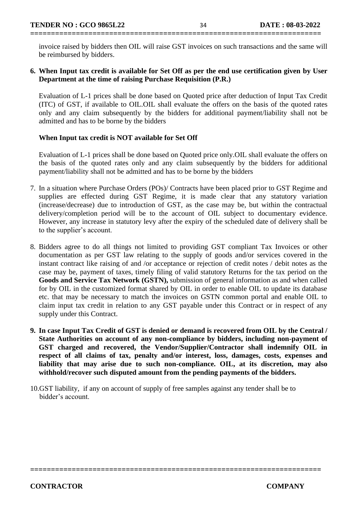invoice raised by bidders then OIL will raise GST invoices on such transactions and the same will be reimbursed by bidders.

**======================================================================**

### **6. When Input tax credit is available for Set Off as per the end use certification given by User Department at the time of raising Purchase Requisition (P.R.)**

Evaluation of L-1 prices shall be done based on Quoted price after deduction of Input Tax Credit (ITC) of GST, if available to OIL.OIL shall evaluate the offers on the basis of the quoted rates only and any claim subsequently by the bidders for additional payment/liability shall not be admitted and has to be borne by the bidders

### **When Input tax credit is NOT available for Set Off**

Evaluation of L-1 prices shall be done based on Quoted price only.OIL shall evaluate the offers on the basis of the quoted rates only and any claim subsequently by the bidders for additional payment/liability shall not be admitted and has to be borne by the bidders

- 7. In a situation where Purchase Orders (POs)/ Contracts have been placed prior to GST Regime and supplies are effected during GST Regime, it is made clear that any statutory variation (increase/decrease) due to introduction of GST, as the case may be, but within the contractual delivery/completion period will be to the account of OIL subject to documentary evidence. However, any increase in statutory levy after the expiry of the scheduled date of delivery shall be to the supplier's account.
- 8. Bidders agree to do all things not limited to providing GST compliant Tax Invoices or other documentation as per GST law relating to the supply of goods and/or services covered in the instant contract like raising of and /or acceptance or rejection of credit notes / debit notes as the case may be, payment of taxes, timely filing of valid statutory Returns for the tax period on the **Goods and Service Tax Network (GSTN),** submission of general information as and when called for by OIL in the customized format shared by OIL in order to enable OIL to update its database etc. that may be necessary to match the invoices on GSTN common portal and enable OIL to claim input tax credit in relation to any GST payable under this Contract or in respect of any supply under this Contract.
- **9. In case Input Tax Credit of GST is denied or demand is recovered from OIL by the Central / State Authorities on account of any non-compliance by bidders, including non-payment of GST charged and recovered, the Vendor/Supplier/Contractor shall indemnify OIL in respect of all claims of tax, penalty and/or interest, loss, damages, costs, expenses and liability that may arise due to such non-compliance. OIL, at its discretion, may also withhold/recover such disputed amount from the pending payments of the bidders.**

**======================================================================** 

10.GST liability, if any on account of supply of free samples against any tender shall be to bidder's account.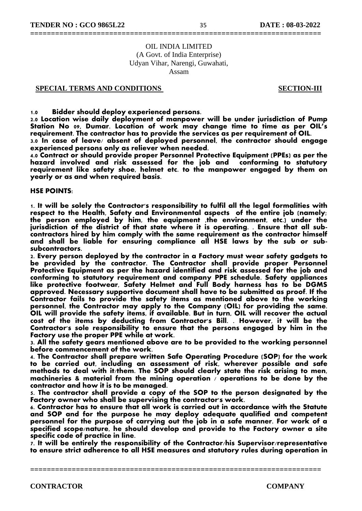### OIL INDIA LIMITED (A Govt. of India Enterprise) Udyan Vihar, Narengi, Guwahati, Assam

**======================================================================**

### **SPECIAL TERMS AND CONDITIONS SECTION-III**

1.0 Bidder should deploy experienced persons.

2.0 Location wise daily deployment of manpower will be under jurisdiction of Pump Station No 09, Dumar. Location of work may change time to time as per OIL's requirement. The contractor has to provide the services as per requirement of OIL.

3.0 In case of leave/ absent of deployed personnel, the contractor should engage experienced persons only as reliever when needed.

4.0 Contract or should provide proper Personnel Protective Equipment (PPEs) as per the hazard involved and risk assessed for the job and conforming to statutory requirement like safety shoe, helmet etc. to the manpower engaged by them on yearly or as and when required basis.

HSE POINTS:

1. It will be solely the Contractor's responsibility to fulfil all the legal formalities with respect to the Health, Safety and Environmental aspects of the entire job (namely; the person employed by him, the equipment ,the environment, etc.) under the jurisdiction of the district of that state where it is operating. . Ensure that all subcontractors hired by him comply with the same requirement as the contractor himself and shall be liable for ensuring compliance all HSE laws by the sub or subsubcontractors.

2. Every person deployed by the contractor in a Factory must wear safety gadgets to be provided by the contractor. The Contractor shall provide proper Personnel Protective Equipment as per the hazard identified and risk assessed for the job and conforming to statutory requirement and company PPE schedule. Safety appliances like protective footwear, Safety Helmet and Full Body harness has to be DGMS approved. Necessary supportive document shall have to be submitted as proof. If the Contractor fails to provide the safety items as mentioned above to the working personnel, the Contractor may apply to the Company (OIL) for providing the same. OIL will provide the safety items, if available. But in turn, OIL will recover the actual cost of the items by deducting from Contractor's Bill. . However, it will be the Contractor's sole responsibility to ensure that the persons engaged by him in the Factory use the proper PPE while at work.

3. All the safety gears mentioned above are to be provided to the working personnel before commencement of the work.

4. The Contractor shall prepare written Safe Operating Procedure (SOP) for the work to be carried out, including an assessment of risk, wherever possible and safe methods to deal with it/them. The SOP should clearly state the risk arising to men, machineries & material from the mining operation / operations to be done by the contractor and how it is to be managed.

5. The contractor shall provide a copy of the SOP to the person designated by the Factory owner who shall be supervising the contractor's work.

6. Contractor has to ensure that all work is carried out in accordance with the Statute and SOP and for the purpose he may deploy adequate qualified and competent personnel for the purpose of carrying out the job in a safe manner. For work of a specified scope/nature, he should develop and provide to the Factory owner a site specific code of practice in line.

7. It will be entirely the responsibility of the Contractor/his Supervisor/representative to ensure strict adherence to all HSE measures and statutory rules during operation in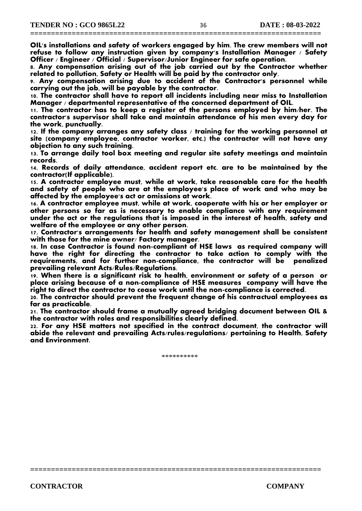OIL's installations and safety of workers engaged by him. The crew members will not refuse to follow any instruction given by company's Installation Manager / Safety Officer / Engineer / Official / Supervisor/Junior Engineer for safe operation.

**======================================================================**

8. Any compensation arising out of the job carried out by the Contractor whether related to pollution, Safety or Health will be paid by the contractor only.

9. Any compensation arising due to accident of the Contractor's personnel while carrying out the job, will be payable by the contractor.

10. The contractor shall have to report all incidents including near miss to Installation Manager / departmental representative of the concerned department of OIL.

11. The contractor has to keep a register of the persons employed by him/her. The contractor's supervisor shall take and maintain attendance of his men every day for the work, punctually.

12. If the company arranges any safety class / training for the working personnel at site (company employee, contractor worker, etc.) the contractor will not have any objection to any such training.

13. To arrange daily tool box meeting and regular site safety meetings and maintain records.

14. Records of daily attendance, accident report etc. are to be maintained by the contractor(If applicable).

15. A contractor employee must, while at work, take reasonable care for the health and safety of people who are at the employee's place of work and who may be affected by the employee's act or omissions at work.

16. A contractor employee must, while at work, cooperate with his or her employer or other persons so far as is necessary to enable compliance with any requirement under the act or the regulations that is imposed in the interest of health, safety and welfare of the employee or any other person.

17. Contractor's arrangements for health and safety management shall be consistent with those for the mine owner/ Factory manager.

18. In case Contractor is found non-compliant of HSE laws as required company will have the right for directing the contractor to take action to comply with the requirements, and for further non-compliance, the contractor will be penalized prevailing relevant Acts/Rules/Regulations.

19. When there is a significant risk to health, environment or safety of a person or place arising because of a non-compliance of HSE measures company will have the right to direct the contractor to cease work until the non-compliance is corrected.

20. The contractor should prevent the frequent change of his contractual employees as far as practicable.

21. The contractor should frame a mutually agreed bridging document between OIL & the contractor with roles and responsibilities clearly defined.

22. For any HSE matters not specified in the contract document, the contractor will abide the relevant and prevailing Acts/rules/regulations/ pertaining to Health, Safety and Environment.

\*\*\*\*\*\*\*\*\*\*

**======================================================================**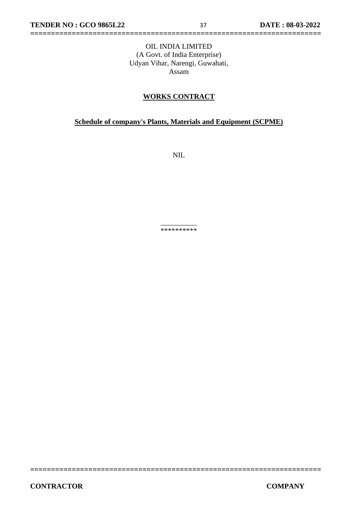### OIL INDIA LIMITED (A Govt. of India Enterprise) Udyan Vihar, Narengi, Guwahati, Assam

**======================================================================**

### **WORKS CONTRACT**

### **Schedule of company's Plants, Materials and Equipment (SCPME)**

NIL

\_\_\_\_\_\_\_\_\_\_ \*\*\*\*\*\*\*\*\*\*

**======================================================================**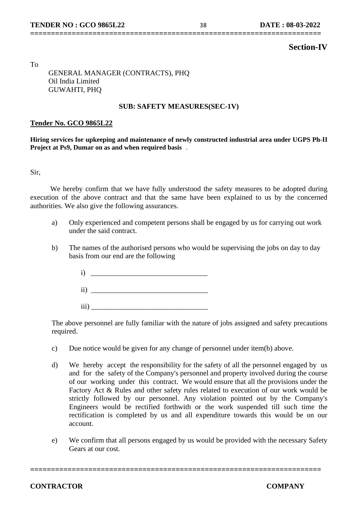**Section-IV**

To

### GENERAL MANAGER (CONTRACTS), PHQ Oil India Limited GUWAHTI, PHQ

### **SUB: SAFETY MEASURES(SEC-1V)**

**======================================================================**

### **Tender No. GCO 9865L22**

### **Hiring services for upkeeping and maintenance of newly constructed industrial area under UGPS Ph-II Project at Ps9, Dumar on as and when required basis** .

Sir,

 We hereby confirm that we have fully understood the safety measures to be adopted during execution of the above contract and that the same have been explained to us by the concerned authorities. We also give the following assurances.

- a) Only experienced and competent persons shall be engaged by us for carrying out work under the said contract.
- b) The names of the authorised persons who would be supervising the jobs on day to day basis from our end are the following
	- $i)$  $\text{ii)}$   $\qquad$  $\overline{\text{iii}}$

The above personnel are fully familiar with the nature of jobs assigned and safety precautions required.

- c) Due notice would be given for any change of personnel under item(b) above.
- d) We hereby accept the responsibility for the safety of all the personnel engaged by us and for the safety of the Company's personnel and property involved during the course of our working under this contract. We would ensure that all the provisions under the Factory Act & Rules and other safety rules related to execution of our work would be strictly followed by our personnel. Any violation pointed out by the Company's Engineers would be rectified forthwith or the work suspended till such time the rectification is completed by us and all expenditure towards this would be on our account.
- e) We confirm that all persons engaged by us would be provided with the necessary Safety Gears at our cost.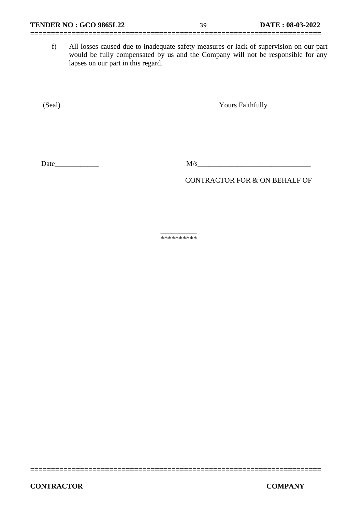**======================================================================**

f) All losses caused due to inadequate safety measures or lack of supervision on our part would be fully compensated by us and the Company will not be responsible for any lapses on our part in this regard.

(Seal) Yours Faithfully

Date  $M/s$ 

CONTRACTOR FOR & ON BEHALF OF

 $\overline{\phantom{a}}$ \*\*\*\*\*\*\*\*\*\*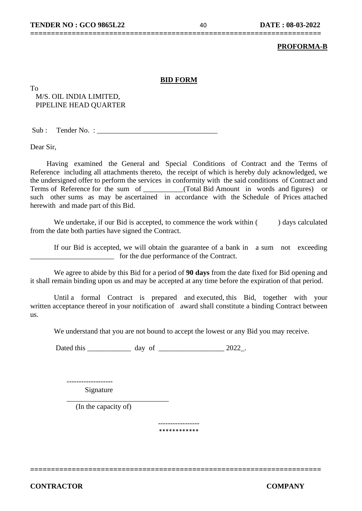### **PROFORMA-B**

### **BID FORM**

**======================================================================**

To

 M/S. OIL INDIA LIMITED, PIPELINE HEAD QUARTER

 $Sub:$  Tender No. :

Dear Sir,

Having examined the General and Special Conditions of Contract and the Terms of Reference including all attachments thereto, the receipt of which is hereby duly acknowledged, we the undersigned offer to perform the services in conformity with the said conditions of Contract and Terms of Reference for the sum of \_\_\_\_\_\_\_\_\_\_\_(Total Bid Amount in words and figures) or such other sums as may be ascertained in accordance with the Schedule of Prices attached herewith and made part of this Bid.

We undertake, if our Bid is accepted, to commence the work within  $($ ) days calculated from the date both parties have signed the Contract.

 If our Bid is accepted, we will obtain the guarantee of a bank in a sum not exceeding for the due performance of the Contract.

 We agree to abide by this Bid for a period of **90 days** from the date fixed for Bid opening and it shall remain binding upon us and may be accepted at any time before the expiration of that period.

 Until a formal Contract is prepared and executed, this Bid, together with your written acceptance thereof in your notification of award shall constitute a binding Contract between us.

We understand that you are not bound to accept the lowest or any Bid you may receive.

Dated this \_\_\_\_\_\_\_\_\_\_\_\_ day of \_\_\_\_\_\_\_\_\_\_\_\_\_\_\_\_\_\_ 2022\_.

 ------------------- Signature  $\frac{1}{\sqrt{2}}$  ,  $\frac{1}{\sqrt{2}}$  ,  $\frac{1}{\sqrt{2}}$  ,  $\frac{1}{\sqrt{2}}$  ,  $\frac{1}{\sqrt{2}}$  ,  $\frac{1}{\sqrt{2}}$  ,  $\frac{1}{\sqrt{2}}$  ,  $\frac{1}{\sqrt{2}}$  ,  $\frac{1}{\sqrt{2}}$  ,  $\frac{1}{\sqrt{2}}$  ,  $\frac{1}{\sqrt{2}}$  ,  $\frac{1}{\sqrt{2}}$  ,  $\frac{1}{\sqrt{2}}$  ,  $\frac{1}{\sqrt{2}}$  ,  $\frac{1}{\sqrt{2}}$ 

(In the capacity of)

----------------- \*\*\*\*\*\*\*\*\*\*\*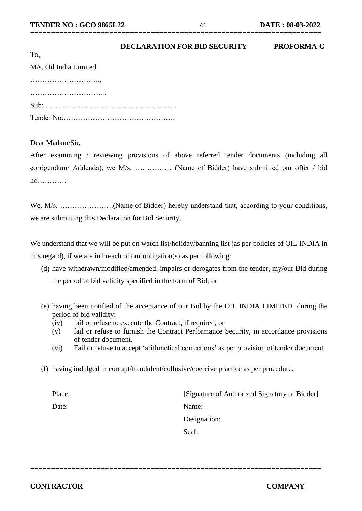### **DECLARATION FOR BID SECURITY PROFORMA-C**

| To.                    |
|------------------------|
| M/s. Oil India Limited |
|                        |
|                        |
|                        |
|                        |

Dear Madam/Sir,

After examining / reviewing provisions of above referred tender documents (including all corrigendum/ Addenda), we M/s. …………… (Name of Bidder) have submitted our offer / bid no…………

**======================================================================**

We, M/s. ..............................(Name of Bidder) hereby understand that, according to your conditions, we are submitting this Declaration for Bid Security.

We understand that we will be put on watch list/holiday/banning list (as per policies of OIL INDIA in this regard), if we are in breach of our obligation(s) as per following:

- (d) have withdrawn/modified/amended, impairs or derogates from the tender, my/our Bid during the period of bid validity specified in the form of Bid; or
- (e) having been notified of the acceptance of our Bid by the OIL INDIA LIMITED during the period of bid validity:
	- (iv) fail or refuse to execute the Contract, if required, or
	- (v) fail or refuse to furnish the Contract Performance Security, in accordance provisions of tender document.
	- (vi) Fail or refuse to accept 'arithmetical corrections' as per provision of tender document.
- (f) having indulged in corrupt/fraudulent/collusive/coercive practice as per procedure.

**======================================================================** 

Place: [Signature of Authorized Signatory of Bidder] Date: Name: Designation: Seal: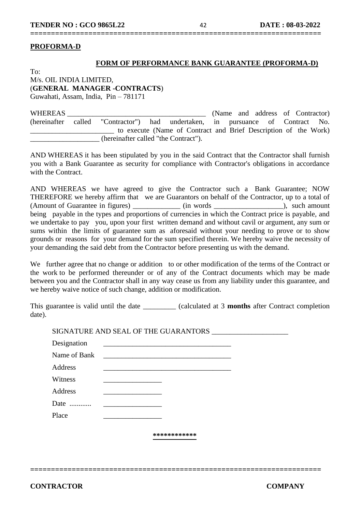### **PROFORMA-D**

### **FORM OF PERFORMANCE BANK GUARANTEE (PROFORMA-D)**

To: M/s. OIL INDIA LIMITED, (**GENERAL MANAGER -CONTRACTS**) Guwahati, Assam, India, Pin – 781171

WHEREAS **EXECUTE:** (Name and address of Contractor) (hereinafter called "Contractor") had undertaken, in pursuance of Contract No. \_\_\_\_\_\_\_\_\_\_\_\_\_\_\_\_\_\_\_\_\_\_\_ to execute (Name of Contract and Brief Description of the Work) \_\_\_\_\_\_\_\_\_\_\_\_\_\_\_\_\_\_\_ (hereinafter called "the Contract").

**======================================================================**

AND WHEREAS it has been stipulated by you in the said Contract that the Contractor shall furnish you with a Bank Guarantee as security for compliance with Contractor's obligations in accordance with the Contract.

AND WHEREAS we have agreed to give the Contractor such a Bank Guarantee; NOW THEREFORE we hereby affirm that we are Guarantors on behalf of the Contractor, up to a total of (Amount of Guarantee in figures) \_\_\_\_\_\_\_\_\_\_\_\_\_ (in words \_\_\_\_\_\_\_\_\_\_\_\_\_\_\_\_\_\_\_), such amount being payable in the types and proportions of currencies in which the Contract price is payable, and we undertake to pay you, upon your first written demand and without cavil or argument, any sum or sums within the limits of guarantee sum as aforesaid without your needing to prove or to show grounds or reasons for your demand for the sum specified therein. We hereby waive the necessity of your demanding the said debt from the Contractor before presenting us with the demand.

We further agree that no change or addition to or other modification of the terms of the Contract or the work to be performed thereunder or of any of the Contract documents which may be made between you and the Contractor shall in any way cease us from any liability under this guarantee, and we hereby waive notice of such change, addition or modification.

This guarantee is valid until the date \_\_\_\_\_\_\_\_\_ (calculated at 3 **months** after Contract completion date).

SIGNATURE AND SEAL OF THE GUARANTORS \_\_\_\_\_\_\_\_\_\_\_\_\_\_\_\_\_\_\_\_\_

| Designation  |              |  |
|--------------|--------------|--|
| Name of Bank |              |  |
| Address      |              |  |
| Witness      |              |  |
| Address      |              |  |
| Date         |              |  |
| Place        |              |  |
|              |              |  |
|              | ************ |  |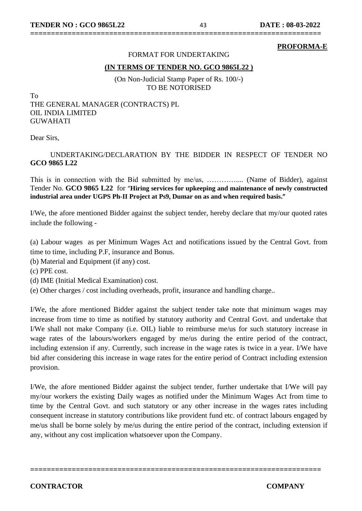### **PROFORMA-E**

### FORMAT FOR UNDERTAKING

**======================================================================**

### **(IN TERMS OF TENDER NO. GCO 9865L22 )**

(On Non-Judicial Stamp Paper of Rs. 100/-) TO BE NOTORISED

To THE GENERAL MANAGER (CONTRACTS) PL OIL INDIA LIMITED **GUWAHATI** 

Dear Sirs,

### UNDERTAKING/DECLARATION BY THE BIDDER IN RESPECT OF TENDER NO **GCO 9865 L22**

This is in connection with the Bid submitted by me/us, ………….... (Name of Bidder), against Tender No. **GCO 9865 L22** for "**Hiring services for upkeeping and maintenance of newly constructed industrial area under UGPS Ph-II Project at Ps9, Dumar on as and when required basis."**

I/We, the afore mentioned Bidder against the subject tender, hereby declare that my/our quoted rates include the following -

(a) Labour wages as per Minimum Wages Act and notifications issued by the Central Govt. from time to time, including P.F, insurance and Bonus.

- (b) Material and Equipment (if any) cost.
- (c) PPE cost.
- (d) IME (Initial Medical Examination) cost.
- (e) Other charges / cost including overheads, profit, insurance and handling charge..

I/We, the afore mentioned Bidder against the subject tender take note that minimum wages may increase from time to time as notified by statutory authority and Central Govt. and undertake that I/We shall not make Company (i.e. OIL) liable to reimburse me/us for such statutory increase in wage rates of the labours/workers engaged by me/us during the entire period of the contract, including extension if any. Currently, such increase in the wage rates is twice in a year. I/We have bid after considering this increase in wage rates for the entire period of Contract including extension provision.

I/We, the afore mentioned Bidder against the subject tender, further undertake that I/We will pay my/our workers the existing Daily wages as notified under the Minimum Wages Act from time to time by the Central Govt. and such statutory or any other increase in the wages rates including consequent increase in statutory contributions like provident fund etc. of contract labours engaged by me/us shall be borne solely by me/us during the entire period of the contract, including extension if any, without any cost implication whatsoever upon the Company.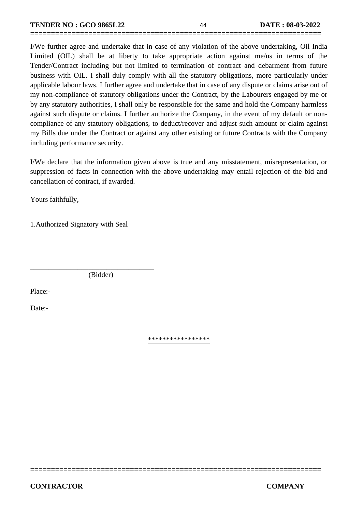I/We further agree and undertake that in case of any violation of the above undertaking, Oil India Limited (OIL) shall be at liberty to take appropriate action against me/us in terms of the Tender/Contract including but not limited to termination of contract and debarment from future business with OIL. I shall duly comply with all the statutory obligations, more particularly under applicable labour laws. I further agree and undertake that in case of any dispute or claims arise out of my non-compliance of statutory obligations under the Contract, by the Labourers engaged by me or by any statutory authorities, I shall only be responsible for the same and hold the Company harmless against such dispute or claims. I further authorize the Company, in the event of my default or noncompliance of any statutory obligations, to deduct/recover and adjust such amount or claim against my Bills due under the Contract or against any other existing or future Contracts with the Company including performance security.

**======================================================================**

I/We declare that the information given above is true and any misstatement, misrepresentation, or suppression of facts in connection with the above undertaking may entail rejection of the bid and cancellation of contract, if awarded.

Yours faithfully,

1.Authorized Signatory with Seal

(Bidder)

\_\_\_\_\_\_\_\_\_\_\_\_\_\_\_\_\_\_\_\_\_\_\_\_\_\_\_\_\_\_\_\_\_\_

Place:-

Date:-

\*\*\*\*\*\*\*\*\*\*\*\*\*\*\*\*\*

**======================================================================**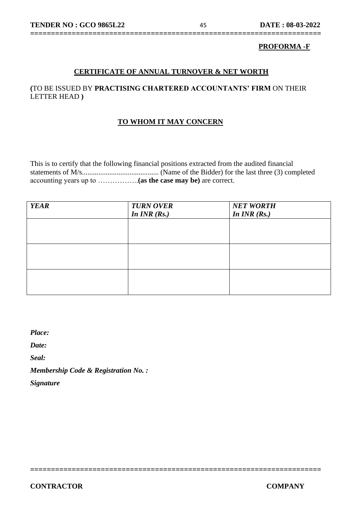### **PROFORMA -F**

### **CERTIFICATE OF ANNUAL TURNOVER & NET WORTH**

**======================================================================**

### **(**TO BE ISSUED BY **PRACTISING CHARTERED ACCOUNTANTS' FIRM** ON THEIR LETTER HEAD **)**

### **TO WHOM IT MAY CONCERN**

This is to certify that the following financial positions extracted from the audited financial statements of M/s.......................................... (Name of the Bidder) for the last three (3) completed accounting years up to ……………..**(as the case may be)** are correct.

| <b>YEAR</b> | <b>TURN OVER</b> | <b>NET WORTH</b> |
|-------------|------------------|------------------|
|             | In $INR(Rs.)$    | In $INR(Rs.)$    |
|             |                  |                  |
|             |                  |                  |
|             |                  |                  |
|             |                  |                  |
|             |                  |                  |
|             |                  |                  |
|             |                  |                  |
|             |                  |                  |
|             |                  |                  |

**======================================================================** 

*Place:*

*Date:*

*Seal:*

*Membership Code & Registration No. :*

*Signature*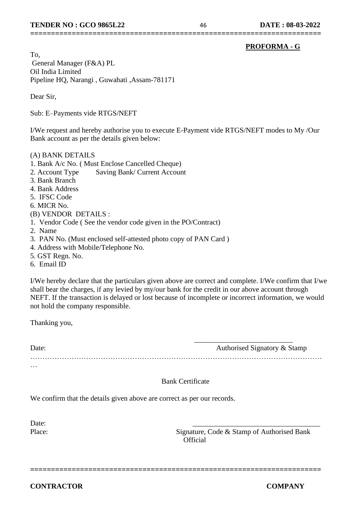### **PROFORMA - G**

To, General Manager (F&A) PL Oil India Limited Pipeline HQ, Narangi , Guwahati ,Assam-781171

Dear Sir,

Sub: E–Payments vide RTGS/NEFT

I/We request and hereby authorise you to execute E-Payment vide RTGS/NEFT modes to My /Our Bank account as per the details given below:

**======================================================================**

### (A) BANK DETAILS

- 1. Bank A/c No. ( Must Enclose Cancelled Cheque)
- 2. Account Type Saving Bank/ Current Account
- 3. Bank Branch
- 4. Bank Address
- 5. IFSC Code
- 6. MICR No.

### (B) VENDOR DETAILS :

- 1. Vendor Code ( See the vendor code given in the PO/Contract)
- 2. Name
- 3. PAN No. (Must enclosed self-attested photo copy of PAN Card )
- 4. Address with Mobile/Telephone No.
- 5. GST Regn. No.
- 6. Email ID

I/We hereby declare that the particulars given above are correct and complete. I/We confirm that I/we shall bear the charges, if any levied by my/our bank for the credit in our above account through NEFT. If the transaction is delayed or lost because of incomplete or incorrect information, we would not hold the company responsible.

Thanking you,

 $\frac{1}{\sqrt{2}}$  ,  $\frac{1}{\sqrt{2}}$  ,  $\frac{1}{\sqrt{2}}$  ,  $\frac{1}{\sqrt{2}}$  ,  $\frac{1}{\sqrt{2}}$  ,  $\frac{1}{\sqrt{2}}$  ,  $\frac{1}{\sqrt{2}}$  ,  $\frac{1}{\sqrt{2}}$  ,  $\frac{1}{\sqrt{2}}$  ,  $\frac{1}{\sqrt{2}}$  ,  $\frac{1}{\sqrt{2}}$  ,  $\frac{1}{\sqrt{2}}$  ,  $\frac{1}{\sqrt{2}}$  ,  $\frac{1}{\sqrt{2}}$  ,  $\frac{1}{\sqrt{2}}$ Date: Authorised Signatory & Stamp ………………………………………………………………………………………………………… …

**======================================================================** 

### Bank Certificate

We confirm that the details given above are correct as per our records.

| Date:             |                                           |
|-------------------|-------------------------------------------|
| D <sub>loop</sub> | Signature Code & Stamp of Authorised Bank |

Place: Signature, Code & Stamp of Authorised Bank **Official**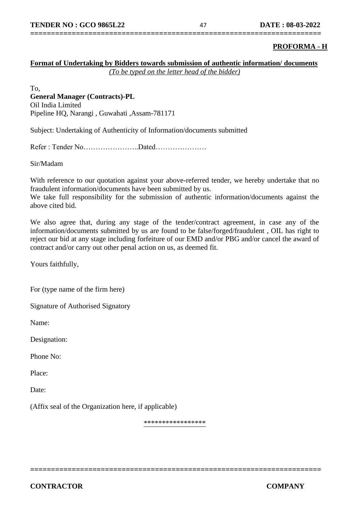### **PROFORMA - H**

### **Format of Undertaking by Bidders towards submission of authentic information/ documents** *(To be typed on the letter head of the bidder)*

**======================================================================**

To, **General Manager (Contracts)-PL** Oil India Limited Pipeline HQ, Narangi , Guwahati ,Assam-781171

Subject: Undertaking of Authenticity of Information/documents submitted

Refer : Tender No…………………..Dated…………………

Sir/Madam

With reference to our quotation against your above-referred tender, we hereby undertake that no fraudulent information/documents have been submitted by us.

We take full responsibility for the submission of authentic information/documents against the above cited bid.

We also agree that, during any stage of the tender/contract agreement, in case any of the information/documents submitted by us are found to be false/forged/fraudulent , OIL has right to reject our bid at any stage including forfeiture of our EMD and/or PBG and/or cancel the award of contract and/or carry out other penal action on us, as deemed fit.

Yours faithfully,

For (type name of the firm here)

Signature of Authorised Signatory

Name:

Designation:

Phone No:

Place:

Date:

(Affix seal of the Organization here, if applicable)

\*\*\*\*\*\*\*\*\*\*\*\*\*\*\*\*\*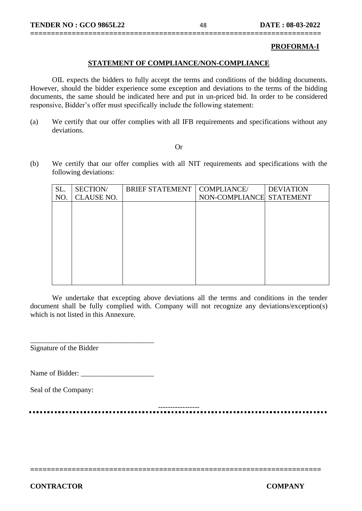### **PROFORMA-I**

### **STATEMENT OF COMPLIANCE/NON-COMPLIANCE**

**======================================================================**

OIL expects the bidders to fully accept the terms and conditions of the bidding documents. However, should the bidder experience some exception and deviations to the terms of the bidding documents, the same should be indicated here and put in un-priced bid. In order to be considered responsive, Bidder's offer must specifically include the following statement:

(a) We certify that our offer complies with all IFB requirements and specifications without any deviations.

### Or

(b) We certify that our offer complies with all NIT requirements and specifications with the following deviations:

| SL. | SECTION/   | <b>BRIEF STATEMENT</b> | COMPLIANCE/              | <b>DEVIATION</b> |
|-----|------------|------------------------|--------------------------|------------------|
| NO. | CLAUSE NO. |                        | NON-COMPLIANCE STATEMENT |                  |
|     |            |                        |                          |                  |
|     |            |                        |                          |                  |
|     |            |                        |                          |                  |
|     |            |                        |                          |                  |
|     |            |                        |                          |                  |
|     |            |                        |                          |                  |
|     |            |                        |                          |                  |
|     |            |                        |                          |                  |
|     |            |                        |                          |                  |
|     |            |                        |                          |                  |

We undertake that excepting above deviations all the terms and conditions in the tender document shall be fully complied with. Company will not recognize any deviations/exception(s) which is not listed in this Annexure.

Signature of the Bidder

Name of Bidder: \_\_\_\_\_\_\_\_\_\_\_\_\_\_\_\_\_\_\_\_

\_\_\_\_\_\_\_\_\_\_\_\_\_\_\_\_\_\_\_\_\_\_\_\_\_\_\_\_\_\_\_\_\_\_

Seal of the Company:

-----------------. . . . . . . . . . . .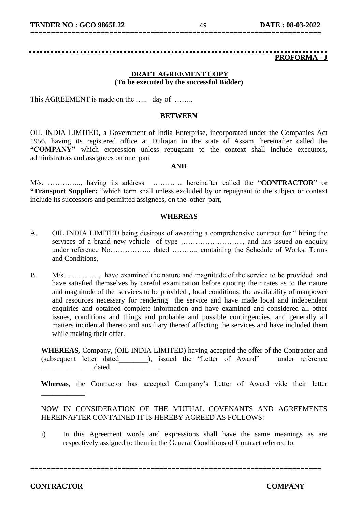## **PROFORMA - J**

**======================================================================**

### **DRAFT AGREEMENT COPY (To be executed by the successful Bidder)**

This AGREEMENT is made on the ..... day of ........

### **BETWEEN**

OIL INDIA LIMITED, a Government of India Enterprise, incorporated under the Companies Act 1956, having its registered office at Duliajan in the state of Assam, hereinafter called the **"COMPANY"** which expression unless repugnant to the context shall include executors, administrators and assignees on one part

### **AND**

M/s. ………….., having its address ………… hereinafter called the "**CONTRACTOR**" or **"Transport Supplier:** "which term shall unless excluded by or repugnant to the subject or context include its successors and permitted assignees, on the other part,

### **WHEREAS**

- A. OIL INDIA LIMITED being desirous of awarding a comprehensive contract for " hiring the services of a brand new vehicle of type …………………….., and has issued an enquiry under reference No……………... dated ……….. containing the Schedule of Works, Terms and Conditions,
- B. M/s. ..........., have examined the nature and magnitude of the service to be provided and have satisfied themselves by careful examination before quoting their rates as to the nature and magnitude of the services to be provided , local conditions, the availability of manpower and resources necessary for rendering the service and have made local and independent enquiries and obtained complete information and have examined and considered all other issues, conditions and things and probable and possible contingencies, and generally all matters incidental thereto and auxiliary thereof affecting the services and have included them while making their offer.

**WHEREAS,** Company, (OIL INDIA LIMITED) having accepted the offer of the Contractor and (subsequent letter dated\_\_\_\_\_\_\_\_), issued the "Letter of Award" under reference dated

**Whereas**, the Contractor has accepted Company's Letter of Award vide their letter

NOW IN CONSIDERATION OF THE MUTUAL COVENANTS AND AGREEMENTS HEREINAFTER CONTAINED IT IS HEREBY AGREED AS FOLLOWS:

i) In this Agreement words and expressions shall have the same meanings as are respectively assigned to them in the General Conditions of Contract referred to.

**======================================================================** 

**CONTRACTOR COMPANY**

\_\_\_\_\_\_\_\_\_\_\_\_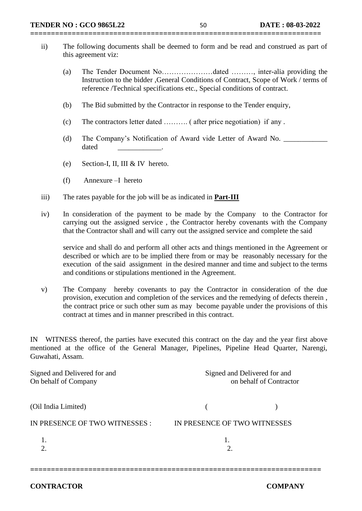ii) The following documents shall be deemed to form and be read and construed as part of this agreement viz:

**======================================================================**

- (a) The Tender Document No…………………dated ………, inter-alia providing the Instruction to the bidder ,General Conditions of Contract, Scope of Work / terms of reference /Technical specifications etc., Special conditions of contract.
- (b) The Bid submitted by the Contractor in response to the Tender enquiry,
- (c) The contractors letter dated ………. ( after price negotiation) if any .
- (d) The Company's Notification of Award vide Letter of Award No. \_\_\_\_\_\_\_\_\_\_\_\_\_\_\_ dated
- (e) Section-I, II, III & IV hereto.
- (f) Annexure –I hereto
- iii) The rates payable for the job will be as indicated in **Part-III**
- iv) In consideration of the payment to be made by the Company to the Contractor for carrying out the assigned service , the Contractor hereby covenants with the Company that the Contractor shall and will carry out the assigned service and complete the said

service and shall do and perform all other acts and things mentioned in the Agreement or described or which are to be implied there from or may be reasonably necessary for the execution of the said assignment in the desired manner and time and subject to the terms and conditions or stipulations mentioned in the Agreement.

v) The Company hereby covenants to pay the Contractor in consideration of the due provision, execution and completion of the services and the remedying of defects therein , the contract price or such other sum as may become payable under the provisions of this contract at times and in manner prescribed in this contract.

IN WITNESS thereof, the parties have executed this contract on the day and the year first above mentioned at the office of the General Manager, Pipelines, Pipeline Head Quarter, Narengi, Guwahati, Assam.

| Signed and Delivered for and<br>On behalf of Company | Signed and Delivered for and<br>on behalf of Contractor |  |  |
|------------------------------------------------------|---------------------------------------------------------|--|--|
| (Oil India Limited)                                  |                                                         |  |  |
| IN PRESENCE OF TWO WITNESSES :                       | IN PRESENCE OF TWO WITNESSES                            |  |  |
| $\mathcal{D}_{\mathcal{L}}$                          | 2.                                                      |  |  |
|                                                      |                                                         |  |  |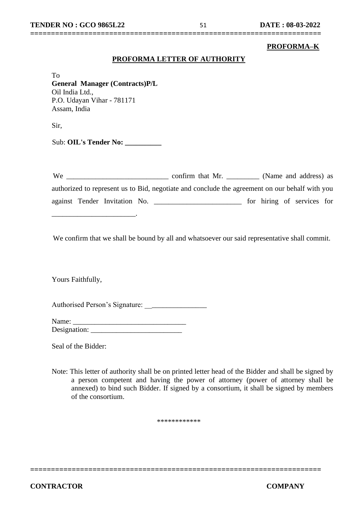**======================================================================**

### **PROFORMA–K**

### **PROFORMA LETTER OF AUTHORITY**

To **General Manager (Contracts)P/L** Oil India Ltd., P.O. Udayan Vihar - 781171 Assam, India

Sir,

Sub: **OIL's Tender No: \_\_\_\_\_\_\_\_\_\_**

\_\_\_\_\_\_\_\_\_\_\_\_\_\_\_\_\_\_\_\_\_\_\_.

We \_\_\_\_\_\_\_\_\_\_\_\_\_\_\_\_\_\_\_\_\_\_\_\_\_\_\_\_ confirm that Mr. \_\_\_\_\_\_\_\_\_ (Name and address) as authorized to represent us to Bid, negotiate and conclude the agreement on our behalf with you against Tender Invitation No. \_\_\_\_\_\_\_\_\_\_\_\_\_\_\_\_\_\_\_\_\_\_\_\_ for hiring of services for

We confirm that we shall be bound by all and whatsoever our said representative shall commit.

Yours Faithfully,

Authorised Person's Signature: \_\_\_\_\_\_\_\_\_\_\_\_\_\_\_\_\_

Name: Designation:

Seal of the Bidder:

Note: This letter of authority shall be on printed letter head of the Bidder and shall be signed by a person competent and having the power of attorney (power of attorney shall be annexed) to bind such Bidder. If signed by a consortium, it shall be signed by members of the consortium.

\*\*\*\*\*\*\*\*\*\*\*\*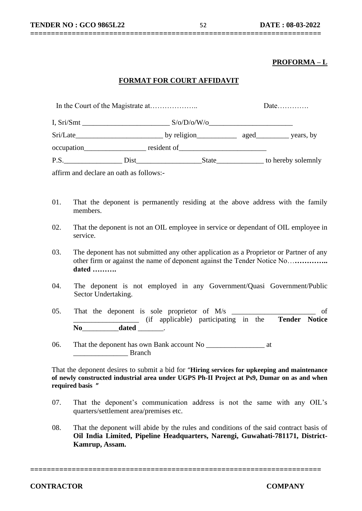### **PROFORMA – L**

### **FORMAT FOR COURT AFFIDAVIT**

**======================================================================**

|                   |  | S/O/D/O/W/O |                                          |
|-------------------|--|-------------|------------------------------------------|
|                   |  |             |                                          |
|                   |  |             |                                          |
| P.S. Dist         |  |             | State________________ to hereby solemnly |
| $CC = 111$ $1121$ |  |             |                                          |

affirm and declare an oath as follows:-

- 01. That the deponent is permanently residing at the above address with the family members.
- 02. That the deponent is not an OIL employee in service or dependant of OIL employee in service.
- 03. The deponent has not submitted any other application as a Proprietor or Partner of any other firm or against the name of deponent against the Tender Notice No…**………….. dated ……….**
- 04. The deponent is not employed in any Government/Quasi Government/Public Sector Undertaking.
- 05. That the deponent is sole proprietor of M/s \_\_\_\_\_\_\_\_\_\_\_\_\_\_\_\_\_\_\_\_\_\_\_\_\_ of \_\_\_\_\_\_\_\_\_\_\_\_\_\_\_\_\_\_ (if applicable) participating in the **Tender Notice No**\_\_\_\_\_\_\_\_\_\_**dated** \_\_\_\_\_\_\_.
- 06. That the deponent has own Bank account No \_\_\_\_\_\_\_\_\_\_\_\_\_\_\_\_ at \_\_\_\_\_\_\_\_\_\_\_\_\_\_\_ Branch

That the deponent desires to submit a bid for "**Hiring services for upkeeping and maintenance of newly constructed industrial area under UGPS Ph-II Project at Ps9, Dumar on as and when required basis "**

- 07. That the deponent's communication address is not the same with any OIL's quarters/settlement area/premises etc.
- 08. That the deponent will abide by the rules and conditions of the said contract basis of **Oil India Limited, Pipeline Headquarters, Narengi, Guwahati-781171, District-Kamrup, Assam.**

**======================================================================**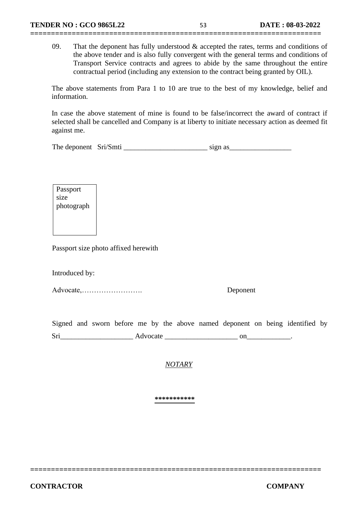09. That the deponent has fully understood  $\&$  accepted the rates, terms and conditions of the above tender and is also fully convergent with the general terms and conditions of Transport Service contracts and agrees to abide by the same throughout the entire contractual period (including any extension to the contract being granted by OIL).

**======================================================================**

The above statements from Para 1 to 10 are true to the best of my knowledge, belief and information.

In case the above statement of mine is found to be false/incorrect the award of contract if selected shall be cancelled and Company is at liberty to initiate necessary action as deemed fit against me.

| The deponent Sri/Smti |  | sign as |
|-----------------------|--|---------|
|-----------------------|--|---------|

Passport size photograph

Passport size photo affixed herewith

Introduced by:

Advocate,……………………. Deponent

Signed and sworn before me by the above named deponent on being identified by Sri\_\_\_\_\_\_\_\_\_\_\_\_\_\_\_\_\_\_\_\_ Advocate \_\_\_\_\_\_\_\_\_\_\_\_\_\_\_\_\_\_\_\_ on\_\_\_\_\_\_\_\_\_\_\_\_.

### *NOTARY*

**\*\*\*\*\*\*\*\*\*\*\***